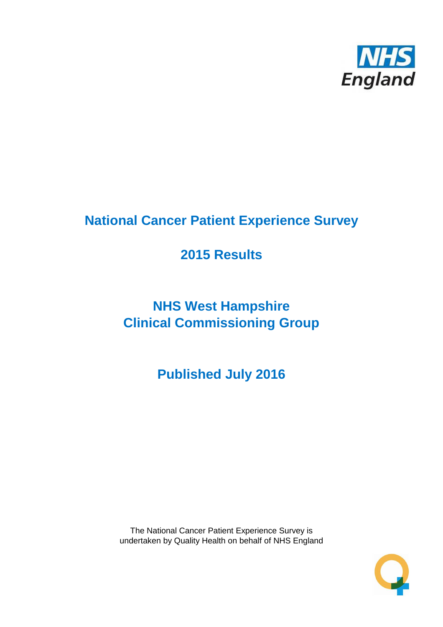

# **National Cancer Patient Experience Survey**

# **2015 Results**

# **NHS West Hampshire Clinical Commissioning Group**

**Published July 2016**

The National Cancer Patient Experience Survey is undertaken by Quality Health on behalf of NHS England

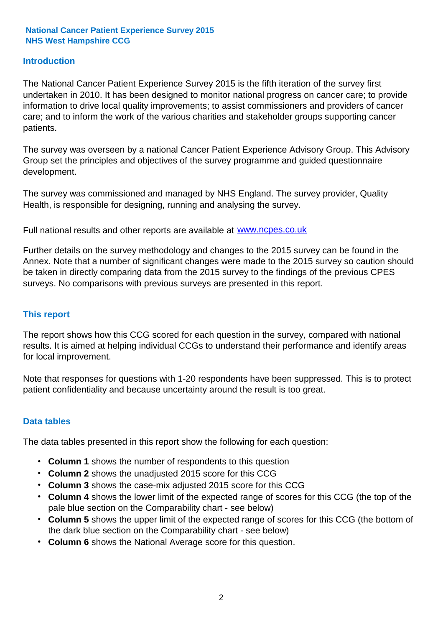#### **Introduction**

The National Cancer Patient Experience Survey 2015 is the fifth iteration of the survey first undertaken in 2010. It has been designed to monitor national progress on cancer care; to provide information to drive local quality improvements; to assist commissioners and providers of cancer care; and to inform the work of the various charities and stakeholder groups supporting cancer patients.

The survey was overseen by a national Cancer Patient Experience Advisory Group. This Advisory Group set the principles and objectives of the survey programme and guided questionnaire development.

The survey was commissioned and managed by NHS England. The survey provider, Quality Health, is responsible for designing, running and analysing the survey.

Full national results and other reports are available at www.ncpes.co.uk

Further details on the survey methodology and changes to the 2015 survey can be found in the Annex. Note that a number of significant changes were made to the 2015 survey so caution should be taken in directly comparing data from the 2015 survey to the findings of the previous CPES surveys. No comparisons with previous surveys are presented in this report.

#### **This report**

The report shows how this CCG scored for each question in the survey, compared with national results. It is aimed at helping individual CCGs to understand their performance and identify areas for local improvement.

Note that responses for questions with 1-20 respondents have been suppressed. This is to protect patient confidentiality and because uncertainty around the result is too great.

#### **Data tables**

The data tables presented in this report show the following for each question:

- **Column 1** shows the number of respondents to this question
- **Column 2** shows the unadjusted 2015 score for this CCG
- **Column 3** shows the case-mix adjusted 2015 score for this CCG
- **Column 4** shows the lower limit of the expected range of scores for this CCG (the top of the pale blue section on the Comparability chart - see below)
- **Column 5** shows the upper limit of the expected range of scores for this CCG (the bottom of the dark blue section on the Comparability chart - see below)
- **Column 6** shows the National Average score for this question.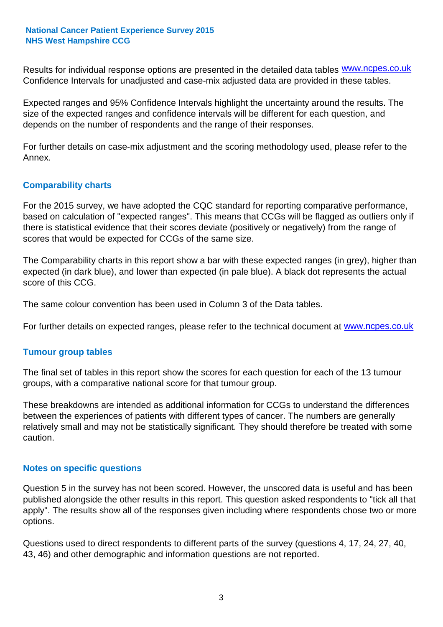Results for individual response options are presented in the detailed data tables **WWW.ncpes.co.uk** Confidence Intervals for unadjusted and case-mix adjusted data are provided in these tables.

Expected ranges and 95% Confidence Intervals highlight the uncertainty around the results. The size of the expected ranges and confidence intervals will be different for each question, and depends on the number of respondents and the range of their responses.

For further details on case-mix adjustment and the scoring methodology used, please refer to the Annex.

#### **Comparability charts**

For the 2015 survey, we have adopted the CQC standard for reporting comparative performance, based on calculation of "expected ranges". This means that CCGs will be flagged as outliers only if there is statistical evidence that their scores deviate (positively or negatively) from the range of scores that would be expected for CCGs of the same size.

The Comparability charts in this report show a bar with these expected ranges (in grey), higher than expected (in dark blue), and lower than expected (in pale blue). A black dot represents the actual score of this CCG.

The same colour convention has been used in Column 3 of the Data tables.

For further details on expected ranges, please refer to the technical document at **www.ncpes.co.uk** 

#### **Tumour group tables**

The final set of tables in this report show the scores for each question for each of the 13 tumour groups, with a comparative national score for that tumour group.

These breakdowns are intended as additional information for CCGs to understand the differences between the experiences of patients with different types of cancer. The numbers are generally relatively small and may not be statistically significant. They should therefore be treated with some caution.

#### **Notes on specific questions**

Question 5 in the survey has not been scored. However, the unscored data is useful and has been published alongside the other results in this report. This question asked respondents to "tick all that apply". The results show all of the responses given including where respondents chose two or more options.

Questions used to direct respondents to different parts of the survey (questions 4, 17, 24, 27, 40, 43, 46) and other demographic and information questions are not reported.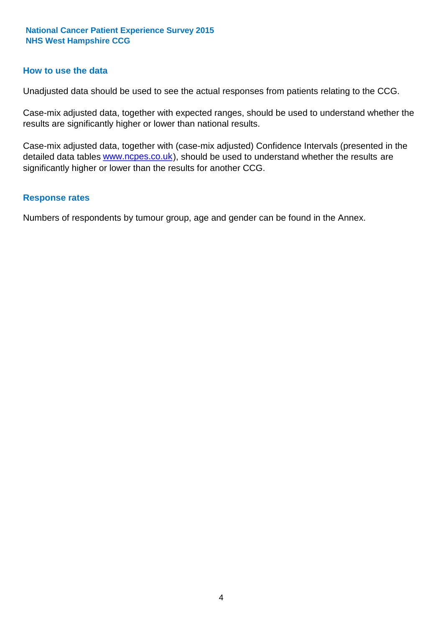#### **How to use the data**

Unadjusted data should be used to see the actual responses from patients relating to the CCG.

Case-mix adjusted data, together with expected ranges, should be used to understand whether the results are significantly higher or lower than national results.

Case-mix adjusted data, together with (case-mix adjusted) Confidence Intervals (presented in the detailed data tables **www.ncpes.co.uk**), should be used to understand whether the results are significantly higher or lower than the results for another CCG.

#### **Response rates**

Numbers of respondents by tumour group, age and gender can be found in the Annex.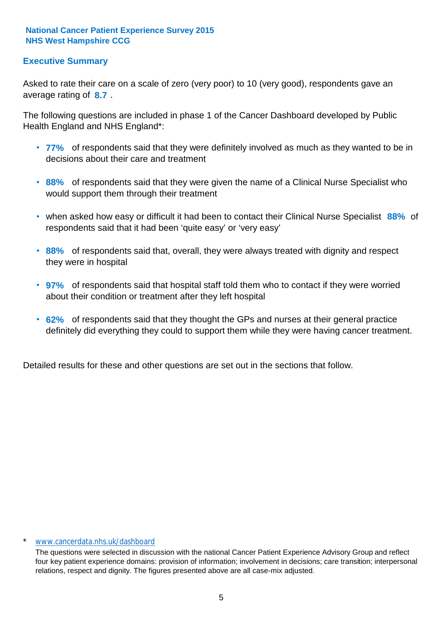#### **Executive Summary**

average rating of 8.7. Asked to rate their care on a scale of zero (very poor) to 10 (very good), respondents gave an

The following questions are included in phase 1 of the Cancer Dashboard developed by Public Health England and NHS England\*:

- **77%** of respondents said that they were definitely involved as much as they wanted to be in decisions about their care and treatment
- **88%** of respondents said that they were given the name of a Clinical Nurse Specialist who would support them through their treatment
- when asked how easy or difficult it had been to contact their Clinical Nurse Specialist 88% of respondents said that it had been 'quite easy' or 'very easy'
- **88%** of respondents said that, overall, they were always treated with dignity and respect they were in hospital
- **97%** of respondents said that hospital staff told them who to contact if they were worried about their condition or treatment after they left hospital
- **62%** of respondents said that they thought the GPs and nurses at their general practice definitely did everything they could to support them while they were having cancer treatment.

Detailed results for these and other questions are set out in the sections that follow.

#### \* www.cancerdata.nhs.uk/dashboard

The questions were selected in discussion with the national Cancer Patient Experience Advisory Group and reflect four key patient experience domains: provision of information; involvement in decisions; care transition; interpersonal relations, respect and dignity. The figures presented above are all case-mix adjusted.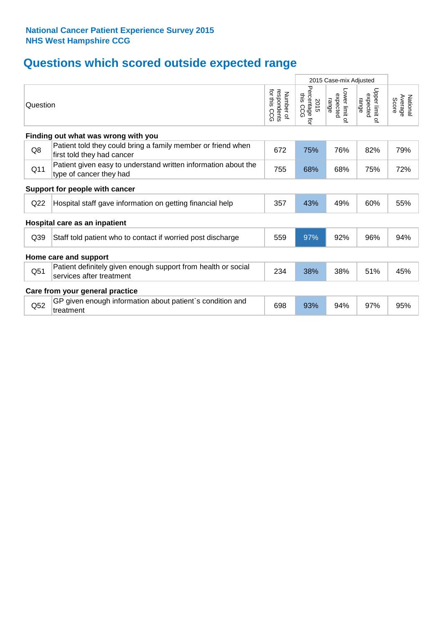# **Questions which scored outside expected range**

|                 |                                                                                            |                                              |                                        | 2015 Case-mix Adjusted              |                                     |                              |
|-----------------|--------------------------------------------------------------------------------------------|----------------------------------------------|----------------------------------------|-------------------------------------|-------------------------------------|------------------------------|
| Question        |                                                                                            | for this<br>respondents<br>Number of<br>င္ပင | Percentage for<br>this<br>2015<br>င္ပင | Lower limit of<br>expected<br>range | Upper limit of<br>expected<br>range | Average<br>National<br>Score |
|                 | Finding out what was wrong with you                                                        |                                              |                                        |                                     |                                     |                              |
| Q8              | Patient told they could bring a family member or friend when<br>first told they had cancer | 672                                          | 75%                                    | 76%                                 | 82%                                 | 79%                          |
| Q11             | Patient given easy to understand written information about the<br>type of cancer they had  | 755                                          | 68%                                    | 68%                                 | 75%                                 | 72%                          |
|                 | Support for people with cancer                                                             |                                              |                                        |                                     |                                     |                              |
| Q22             | Hospital staff gave information on getting financial help                                  | 357                                          | 43%                                    | 49%                                 | 60%                                 | 55%                          |
|                 | Hospital care as an inpatient                                                              |                                              |                                        |                                     |                                     |                              |
| Q <sub>39</sub> | Staff told patient who to contact if worried post discharge                                | 559                                          | 97%                                    | 92%                                 | 96%                                 | 94%                          |
|                 | Home care and support                                                                      |                                              |                                        |                                     |                                     |                              |
| Q51             | Patient definitely given enough support from health or social<br>services after treatment  | 234                                          | 38%                                    | 38%                                 | 51%                                 | 45%                          |
|                 | Care from your general practice                                                            |                                              |                                        |                                     |                                     |                              |
| Q52             | GP given enough information about patient's condition and<br>treatment                     | 698                                          | 93%                                    | 94%                                 | 97%                                 | 95%                          |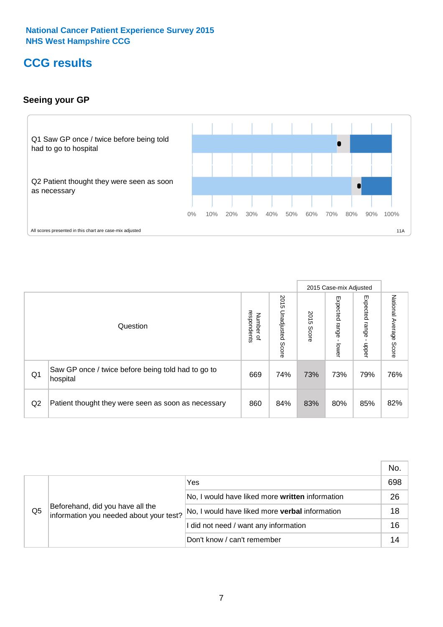### **CCG results**

#### **Seeing your GP**



|    |                                                                |                                              |                             |               | 2015 Case-mix Adjusted     |                            |                           |
|----|----------------------------------------------------------------|----------------------------------------------|-----------------------------|---------------|----------------------------|----------------------------|---------------------------|
|    | Question                                                       | respondents<br>Number<br>$\overline{\sigma}$ | 2015<br>Unadjusted<br>Score | 2015<br>Score | Expected<br>range<br>lower | Expected<br>range<br>nbber | National Average<br>Score |
| Q1 | Saw GP once / twice before being told had to go to<br>hospital | 669                                          | 74%                         | 73%           | 73%                        | 79%                        | 76%                       |
| Q2 | Patient thought they were seen as soon as necessary            | 860                                          | 84%                         | 83%           | 80%                        | 85%                        | 82%                       |

|    |                                                                             |                                                 | No. |
|----|-----------------------------------------------------------------------------|-------------------------------------------------|-----|
|    | Beforehand, did you have all the<br>information you needed about your test? | Yes                                             | 698 |
|    |                                                                             | No, I would have liked more written information | 26  |
| Q5 |                                                                             | No, I would have liked more verbal information  | 18  |
|    |                                                                             | I did not need / want any information           | 16  |
|    |                                                                             | Don't know / can't remember                     |     |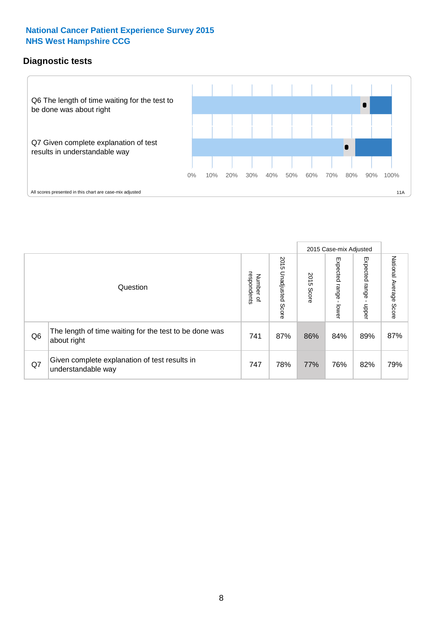#### **Diagnostic tests**



|                |                                                                       |                                       |                             |               | 2015 Case-mix Adjusted  |                         |                           |
|----------------|-----------------------------------------------------------------------|---------------------------------------|-----------------------------|---------------|-------------------------|-------------------------|---------------------------|
|                | Question                                                              | respondents<br>Number<br>$\mathbf{Q}$ | 2015<br>Unadjusted<br>Score | 2015<br>Score | Expected range<br>lower | Expected range<br>nbber | National Average<br>Score |
| Q <sub>6</sub> | The length of time waiting for the test to be done was<br>about right | 741                                   | 87%                         | 86%           | 84%                     | 89%                     | 87%                       |
| Q7             | Given complete explanation of test results in<br>understandable way   | 747                                   | 78%                         | 77%           | 76%                     | 82%                     | 79%                       |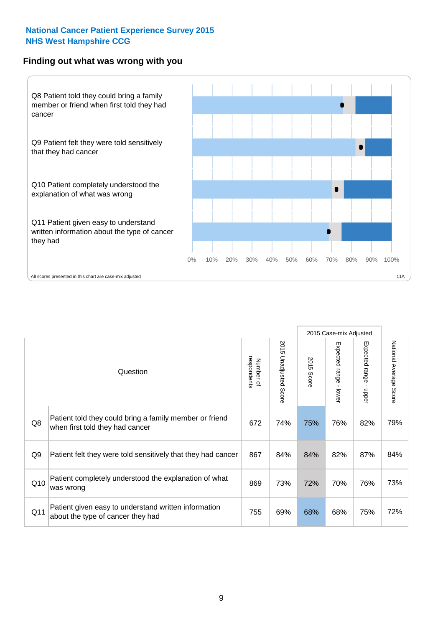#### **Finding out what was wrong with you**



|          |                                                                                            |                          |                             |               |                                         | 2015 Case-mix Adjusted  |                        |
|----------|--------------------------------------------------------------------------------------------|--------------------------|-----------------------------|---------------|-----------------------------------------|-------------------------|------------------------|
| Question |                                                                                            | respondents<br>Number of | 2015<br>Unadjusted<br>Score | 2015<br>Score | Expected range<br>$\mathbf{r}$<br>lower | Expected range<br>nbber | National Average Score |
| Q8       | Patient told they could bring a family member or friend<br>when first told they had cancer | 672                      | 74%                         | 75%           | 76%                                     | 82%                     | 79%                    |
| Q9       | Patient felt they were told sensitively that they had cancer                               | 867                      | 84%                         | 84%           | 82%                                     | 87%                     | 84%                    |
| Q10      | Patient completely understood the explanation of what<br>was wrong                         | 869                      | 73%                         | 72%           | 70%                                     | 76%                     | 73%                    |
| Q11      | Patient given easy to understand written information<br>about the type of cancer they had  | 755                      | 69%                         | 68%           | 68%                                     | 75%                     | 72%                    |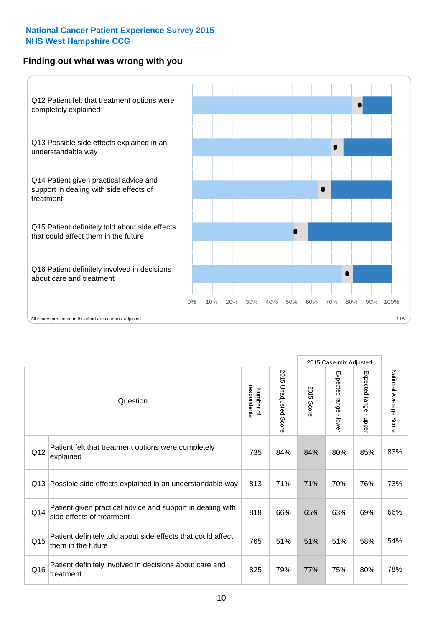#### **Finding out what was wrong with you**



|          |                                                                                         |                          |                          |               | 2015 Case-mix Adjusted                  |                        |                        |
|----------|-----------------------------------------------------------------------------------------|--------------------------|--------------------------|---------------|-----------------------------------------|------------------------|------------------------|
| Question |                                                                                         | Number of<br>respondents | 2015<br>Unadjusted Score | 2015<br>Score | Expected range<br>$\mathbf{I}$<br>lower | Expected range - upper | National Average Score |
| Q12      | Patient felt that treatment options were completely<br>explained                        | 735                      | 84%                      | 84%           | 80%                                     | 85%                    | 83%                    |
| Q13      | Possible side effects explained in an understandable way                                | 813                      | 71%                      | 71%           | 70%                                     | 76%                    | 73%                    |
| Q14      | Patient given practical advice and support in dealing with<br>side effects of treatment | 818                      | 66%                      | 65%           | 63%                                     | 69%                    | 66%                    |
| Q15      | Patient definitely told about side effects that could affect<br>them in the future      | 765                      | 51%                      | 51%           | 51%                                     | 58%                    | 54%                    |
| Q16      | Patient definitely involved in decisions about care and<br>treatment                    | 825                      | 79%                      | 77%           | 75%                                     | 80%                    | 78%                    |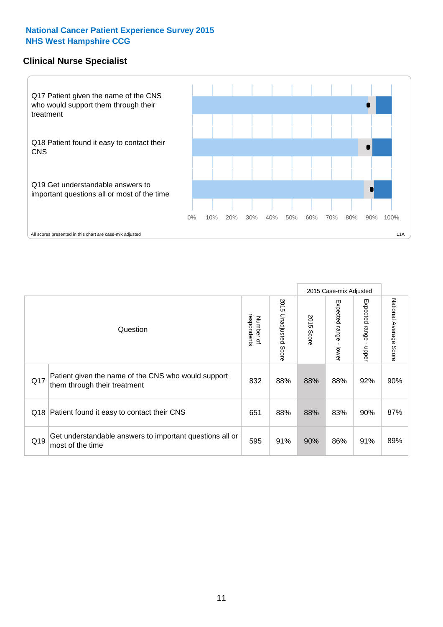#### **Clinical Nurse Specialist**



|     |                                                                                     |                          |                       |               | 2015 Case-mix Adjusted  |                         |                                  |
|-----|-------------------------------------------------------------------------------------|--------------------------|-----------------------|---------------|-------------------------|-------------------------|----------------------------------|
|     | Question                                                                            | respondents<br>Number of | 2015 Unadjusted Score | 2015<br>Score | Expected range<br>lower | Expected range<br>nbber | National Average<br><b>Score</b> |
| Q17 | Patient given the name of the CNS who would support<br>them through their treatment | 832                      | 88%                   | 88%           | 88%                     | 92%                     | 90%                              |
| Q18 | Patient found it easy to contact their CNS                                          | 651                      | 88%                   | 88%           | 83%                     | 90%                     | 87%                              |
| Q19 | Get understandable answers to important questions all or<br>most of the time        | 595                      | 91%                   | 90%           | 86%                     | 91%                     | 89%                              |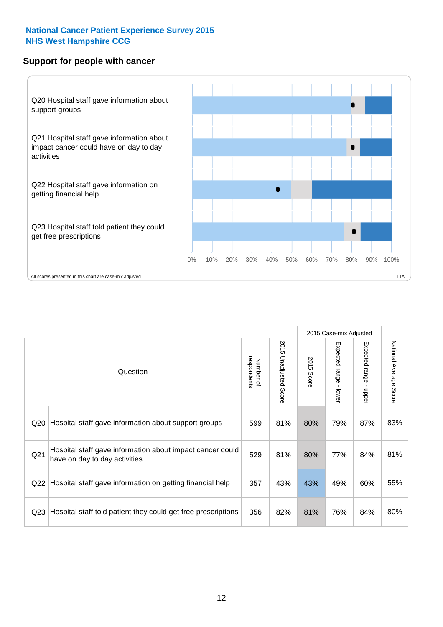#### **Support for people with cancer**



|                 |                                                                                            |                          |                                 |               | 2015 Case-mix Adjusted                  |                           |                        |
|-----------------|--------------------------------------------------------------------------------------------|--------------------------|---------------------------------|---------------|-----------------------------------------|---------------------------|------------------------|
|                 | Question                                                                                   | respondents<br>Number of | 2015<br><b>Unadjusted Score</b> | 2015<br>Score | Expected range<br>$\mathbf{I}$<br>lower | Expected range -<br>nbber | National Average Score |
| Q20             | Hospital staff gave information about support groups                                       | 599                      | 81%                             | 80%           | 79%                                     | 87%                       | 83%                    |
| Q21             | Hospital staff gave information about impact cancer could<br>have on day to day activities | 529                      | 81%                             | 80%           | 77%                                     | 84%                       | 81%                    |
| Q22             | Hospital staff gave information on getting financial help                                  | 357                      | 43%                             | 43%           | 49%                                     | 60%                       | 55%                    |
| Q <sub>23</sub> | Hospital staff told patient they could get free prescriptions                              | 356                      | 82%                             | 81%           | 76%                                     | 84%                       | 80%                    |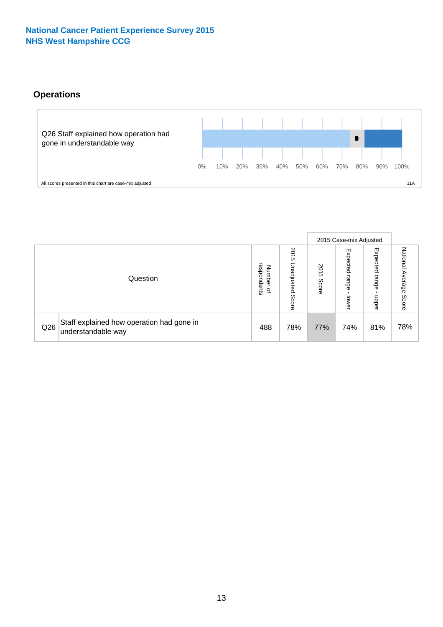### **Operations**



|     |                                                                 |                                         |                             |                    | 2015 Case-mix Adjusted     |                            |                              |
|-----|-----------------------------------------------------------------|-----------------------------------------|-----------------------------|--------------------|----------------------------|----------------------------|------------------------------|
|     | Question                                                        | respondents<br>Number<br>$\overline{a}$ | 2015<br>Unadjusted<br>Score | 201<br>CΠ<br>Score | Expected<br>range<br>lower | Expected<br>range<br>doper | National<br>Average<br>Score |
| Q26 | Staff explained how operation had gone in<br>understandable way | 488                                     | 78%                         | 77%                | 74%                        | 81%                        | 78%                          |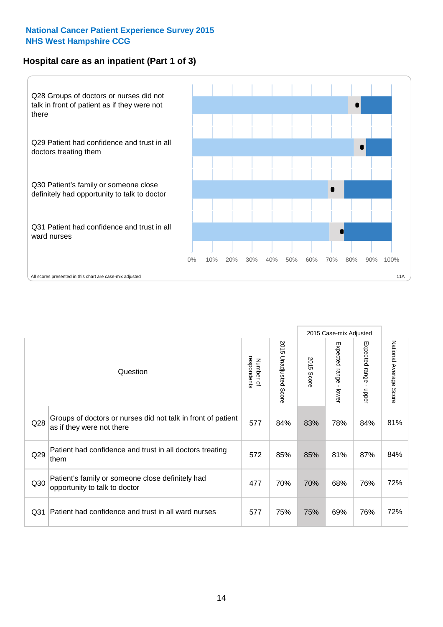#### **Hospital care as an inpatient (Part 1 of 3)**



All scores presented in this chart are case-mix adjusted  $11A$ 

|                 |                                                                                           |                          |                       |               | 2015 Case-mix Adjusted                  |                                           |                        |
|-----------------|-------------------------------------------------------------------------------------------|--------------------------|-----------------------|---------------|-----------------------------------------|-------------------------------------------|------------------------|
|                 | Question                                                                                  | respondents<br>Number of | 2015 Unadjusted Score | 2015<br>Score | Expected range<br>$\mathbf{r}$<br>lower | Expected range<br>$\blacksquare$<br>nbber | National Average Score |
| Q28             | Groups of doctors or nurses did not talk in front of patient<br>as if they were not there | 577                      | 84%                   | 83%           | 78%                                     | 84%                                       | 81%                    |
| Q29             | Patient had confidence and trust in all doctors treating<br>them                          | 572                      | 85%                   | 85%           | 81%                                     | 87%                                       | 84%                    |
| Q30             | Patient's family or someone close definitely had<br>opportunity to talk to doctor         | 477                      | 70%                   | 70%           | 68%                                     | 76%                                       | 72%                    |
| Q <sub>31</sub> | Patient had confidence and trust in all ward nurses                                       | 577                      | 75%                   | 75%           | 69%                                     | 76%                                       | 72%                    |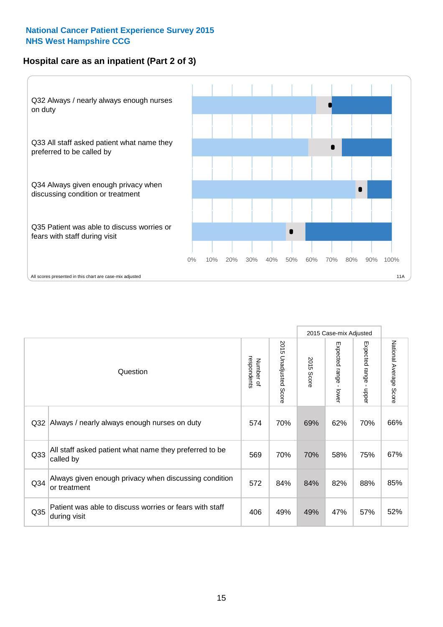#### **Hospital care as an inpatient (Part 2 of 3)**



|                 |                                                                         |                          |                                 |               | 2015 Case-mix Adjusted |                        |                           |
|-----------------|-------------------------------------------------------------------------|--------------------------|---------------------------------|---------------|------------------------|------------------------|---------------------------|
|                 | Question                                                                | respondents<br>Number of | 2015<br><b>Unadjusted Score</b> | 2015<br>Score | Expected range - lower | Expected range - upper | National Average<br>Score |
| Q <sub>32</sub> | Always / nearly always enough nurses on duty                            | 574                      | 70%                             | 69%           | 62%                    | 70%                    | 66%                       |
| Q33             | All staff asked patient what name they preferred to be<br>called by     | 569                      | 70%                             | 70%           | 58%                    | 75%                    | 67%                       |
| Q <sub>34</sub> | Always given enough privacy when discussing condition<br>or treatment   | 572                      | 84%                             | 84%           | 82%                    | 88%                    | 85%                       |
| Q35             | Patient was able to discuss worries or fears with staff<br>during visit | 406                      | 49%                             | 49%           | 47%                    | 57%                    | 52%                       |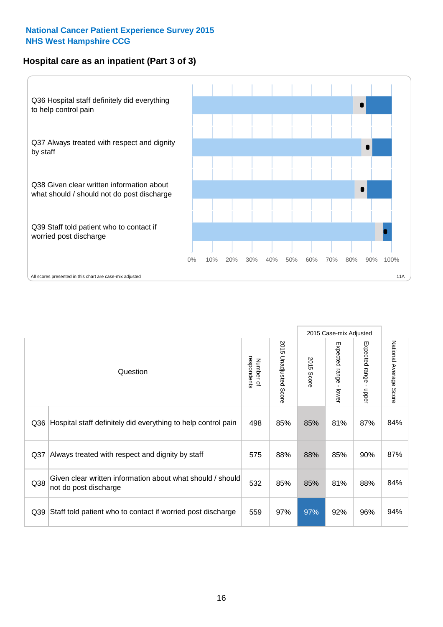#### **Hospital care as an inpatient (Part 3 of 3)**



|                 |                                                                                     |                          |                                 |               | 2015 Case-mix Adjusted                    |                           |                        |
|-----------------|-------------------------------------------------------------------------------------|--------------------------|---------------------------------|---------------|-------------------------------------------|---------------------------|------------------------|
|                 | Question                                                                            | respondents<br>Number of | 2015<br><b>Unadjusted Score</b> | 2015<br>Score | Expected range<br>$\blacksquare$<br>lower | Expected range -<br>nbber | National Average Score |
| Q36             | Hospital staff definitely did everything to help control pain                       | 498                      | 85%                             | 85%           | 81%                                       | 87%                       | 84%                    |
| Q <sub>37</sub> | Always treated with respect and dignity by staff                                    | 575                      | 88%                             | 88%           | 85%                                       | 90%                       | 87%                    |
| Q38             | Given clear written information about what should / should<br>not do post discharge | 532                      | 85%                             | 85%           | 81%                                       | 88%                       | 84%                    |
| Q39             | Staff told patient who to contact if worried post discharge                         | 559                      | 97%                             | 97%           | 92%                                       | 96%                       | 94%                    |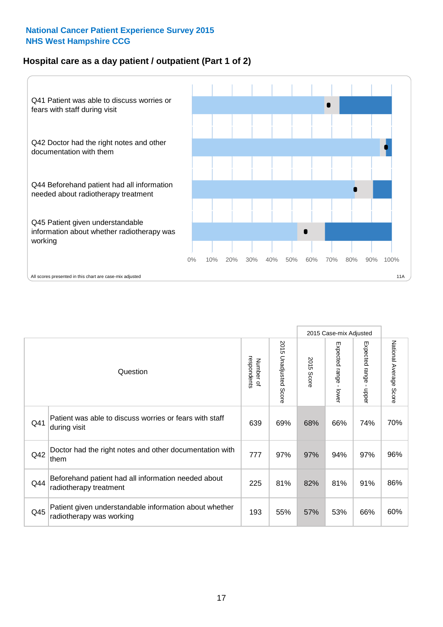#### **Hospital care as a day patient / outpatient (Part 1 of 2)**



|     |                                                                                    |                          |                          |               | 2015 Case-mix Adjusted                  |                                           |                        |
|-----|------------------------------------------------------------------------------------|--------------------------|--------------------------|---------------|-----------------------------------------|-------------------------------------------|------------------------|
|     | Question                                                                           | respondents<br>Number of | 2015<br>Unadjusted Score | 2015<br>Score | Expected range<br>$\mathbf{r}$<br>lower | Expected range<br>$\blacksquare$<br>nbber | National Average Score |
| Q41 | Patient was able to discuss worries or fears with staff<br>during visit            | 639                      | 69%                      | 68%           | 66%                                     | 74%                                       | 70%                    |
| Q42 | Doctor had the right notes and other documentation with<br>them                    | 777                      | 97%                      | 97%           | 94%                                     | 97%                                       | 96%                    |
| Q44 | Beforehand patient had all information needed about<br>radiotherapy treatment      | 225                      | 81%                      | 82%           | 81%                                     | 91%                                       | 86%                    |
| Q45 | Patient given understandable information about whether<br>radiotherapy was working | 193                      | 55%                      | 57%           | 53%                                     | 66%                                       | 60%                    |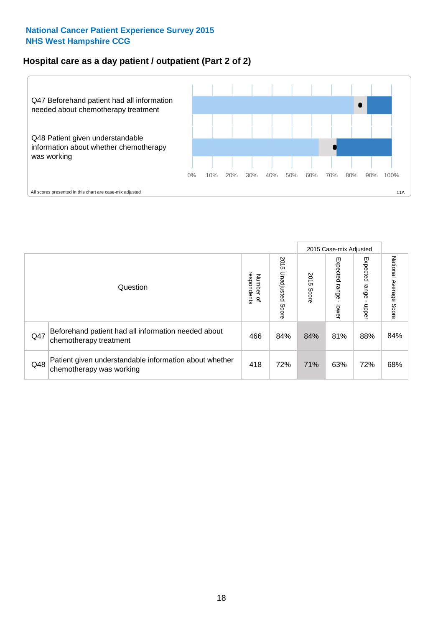#### **Hospital care as a day patient / outpatient (Part 2 of 2)**



|     |                                                                                    |                                       |                             |               | 2015 Case-mix Adjusted      |                         |                           |
|-----|------------------------------------------------------------------------------------|---------------------------------------|-----------------------------|---------------|-----------------------------|-------------------------|---------------------------|
|     | Question                                                                           | respondents<br>Number<br>$\mathbf{Q}$ | 2015<br>Unadjusted<br>Score | 2015<br>Score | Expected<br>Irange<br>lower | Expected range<br>doper | National Average<br>Score |
| Q47 | Beforehand patient had all information needed about<br>chemotherapy treatment      | 466                                   | 84%                         | 84%           | 81%                         | 88%                     | 84%                       |
| Q48 | Patient given understandable information about whether<br>chemotherapy was working | 418                                   | 72%                         | 71%           | 63%                         | 72%                     | 68%                       |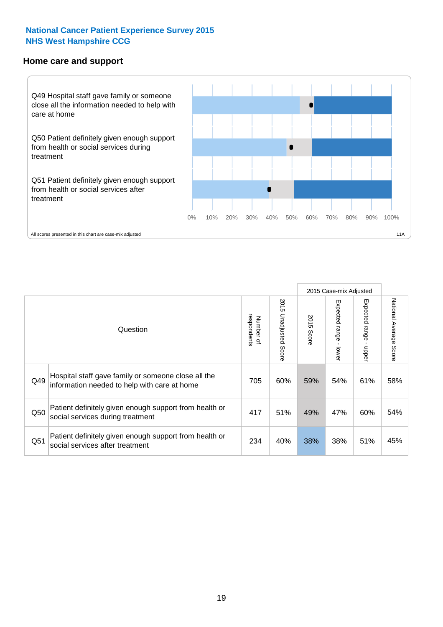#### **Home care and support**



2015 Case-mix Adjusted 2015 Unadjusted Score Expected range - upper National Average Score 2015 Unadjusted Score Expected range - lower National Average Score Expected range - lower Expected range - upper Number of<br>respondents respondents 2015 Score 2015 Score Number of Question Hospital staff gave family or someone close all the  $Q49$  information needed to help with care at home  $Q49$   $60\%$  59% 54% 61% 61% 58% Patient definitely given enough support from health or  $\frac{1}{250}$  social services during treatment  $\frac{1}{250}$  and  $\frac{1}{251}$  and  $\frac{1}{251}$  and  $\frac{1}{251}$  and  $\frac{1}{251}$  and  $\frac{1}{251}$  and  $\frac{1}{251}$  and  $\frac{1}{251}$  and  $\frac{1}{251}$  and  $\frac{1}{251}$  and  $\frac{1}{251}$  and Patient definitely given enough support from health or Q51 social services after treatment<br>
Q51 social services after treatment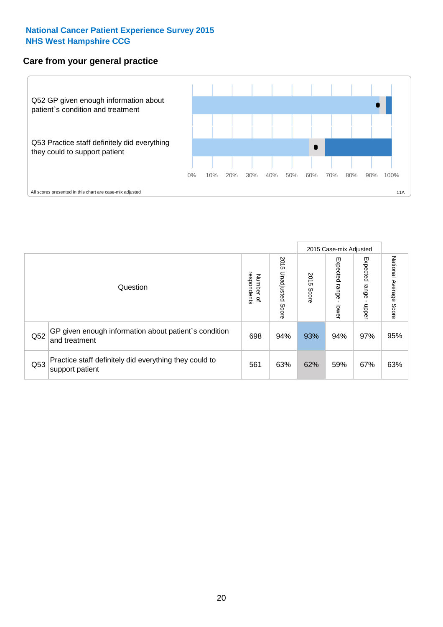#### **Care from your general practice**



|     |                                                                           |                                       |                             | 2015 Case-mix Adjusted |                                   |                        |                           |
|-----|---------------------------------------------------------------------------|---------------------------------------|-----------------------------|------------------------|-----------------------------------|------------------------|---------------------------|
|     | Question                                                                  | respondents<br>Number<br>$\mathbf{Q}$ | 2015<br>Unadjusted<br>Score | 2015<br>Score          | Expected<br><b>range</b><br>lower | Expected range<br>ddau | National Average<br>Score |
| Q52 | GP given enough information about patient's condition<br>and treatment    | 698                                   | 94%                         | 93%                    | 94%                               | 97%                    | 95%                       |
| Q53 | Practice staff definitely did everything they could to<br>support patient | 561                                   | 63%                         | 62%                    | 59%                               | 67%                    | 63%                       |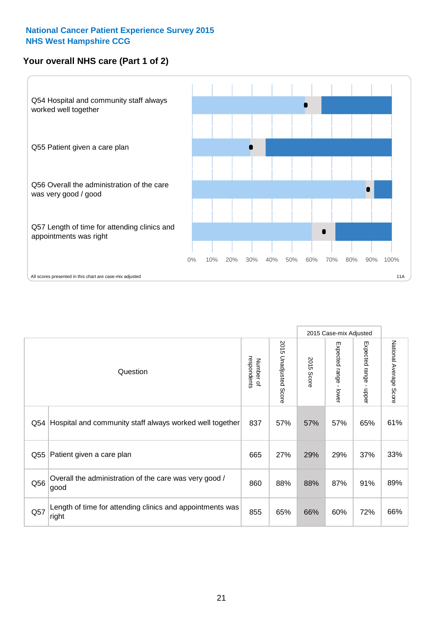### **Your overall NHS care (Part 1 of 2)**



|     |                                                                    |                          |                                 | 2015 Case-mix Adjusted |                         |                                           |                        |
|-----|--------------------------------------------------------------------|--------------------------|---------------------------------|------------------------|-------------------------|-------------------------------------------|------------------------|
|     | Question                                                           | respondents<br>Number of | 2015<br><b>Unadjusted Score</b> | 2015<br>Score          | Expected range<br>lower | Expected range<br>$\blacksquare$<br>nbber | National Average Score |
| Q54 | Hospital and community staff always worked well together           | 837                      | 57%                             | 57%                    | 57%                     | 65%                                       | 61%                    |
| Q55 | Patient given a care plan                                          | 665                      | 27%                             | 29%                    | 29%                     | 37%                                       | 33%                    |
| Q56 | Overall the administration of the care was very good /<br>good     | 860                      | 88%                             | 88%                    | 87%                     | 91%                                       | 89%                    |
| Q57 | Length of time for attending clinics and appointments was<br>right | 855                      | 65%                             | 66%                    | 60%                     | 72%                                       | 66%                    |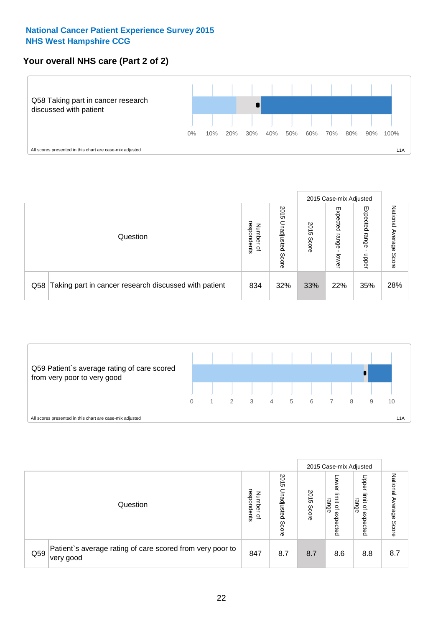#### **Your overall NHS care (Part 2 of 2)**



|     |                                                       |                                  |                             |               |                            | 2015 Case-mix Adjusted     |                           |
|-----|-------------------------------------------------------|----------------------------------|-----------------------------|---------------|----------------------------|----------------------------|---------------------------|
|     | Question                                              | respondents<br>Numbe<br>$\Omega$ | 2015<br>Unadjusted<br>Score | 2015<br>Score | Expected<br>range<br>lower | Expected<br>range<br>doper | National<br>Average Score |
| Q58 | Taking part in cancer research discussed with patient | 834                              | 32%                         | 33%           | 22%                        | 35%                        | 28%                       |



|     |                                                                        |                                              |                             |               |                                                           | 2015 Case-mix Adjusted                   |                              |
|-----|------------------------------------------------------------------------|----------------------------------------------|-----------------------------|---------------|-----------------------------------------------------------|------------------------------------------|------------------------------|
|     | Question                                                               | respondents<br>Number<br>$\overline{\sigma}$ | 2015<br>Inadjusted<br>Score | 2015<br>Score | OWer<br>limit<br>range<br>$\overline{\sigma}$<br>expected | Upper<br>limit<br>range<br>õ<br>expected | National<br>Average<br>Score |
| Q59 | Patient's average rating of care scored from very poor to<br>very good | 847                                          | 8.7                         | 8.7           | 8.6                                                       | 8.8                                      | 8.7                          |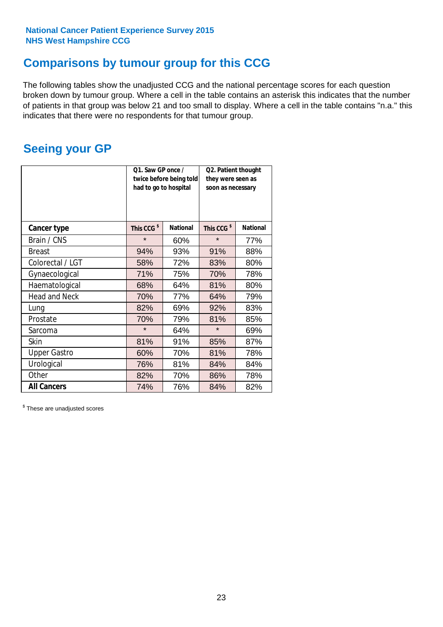### **Comparisons by tumour group for this CCG**

The following tables show the unadjusted CCG and the national percentage scores for each question broken down by tumour group. Where a cell in the table contains an asterisk this indicates that the number of patients in that group was below 21 and too small to display. Where a cell in the table contains "n.a." this indicates that there were no respondents for that tumour group.

### **Seeing your GP**

|                      | Q1. Saw GP once /<br>had to go to hospital | twice before being told | Q2. Patient thought<br>they were seen as<br>soon as necessary |                 |  |
|----------------------|--------------------------------------------|-------------------------|---------------------------------------------------------------|-----------------|--|
| <b>Cancer type</b>   | This CCG <sup>\$</sup>                     | <b>National</b>         | This CCG <sup>\$</sup>                                        | <b>National</b> |  |
| Brain / CNS          | $\star$                                    | 60%                     | $\star$                                                       | 77%             |  |
| <b>Breast</b>        | 94%                                        | 93%                     | 91%                                                           | 88%             |  |
| Colorectal / LGT     | 58%                                        | 72%                     | 83%                                                           | 80%             |  |
| Gynaecological       | 71%                                        | 75%                     | 70%                                                           | 78%             |  |
| Haematological       | 68%                                        | 64%                     | 81%                                                           | 80%             |  |
| <b>Head and Neck</b> | 70%                                        | 77%                     | 64%                                                           | 79%             |  |
| Lung                 | 82%                                        | 69%                     | 92%                                                           | 83%             |  |
| Prostate             | 70%                                        | 79%                     | 81%                                                           | 85%             |  |
| Sarcoma              | $\star$                                    | 64%                     | $\star$                                                       | 69%             |  |
| Skin                 | 81%                                        | 91%                     | 85%                                                           | 87%             |  |
| <b>Upper Gastro</b>  | 60%                                        | 70%                     | 81%                                                           | 78%             |  |
| Urological           | 76%                                        | 81%                     | 84%                                                           | 84%             |  |
| Other                | 82%                                        | 70%                     | 86%                                                           | 78%             |  |
| <b>All Cancers</b>   | 74%                                        | 76%                     | 84%                                                           | 82%             |  |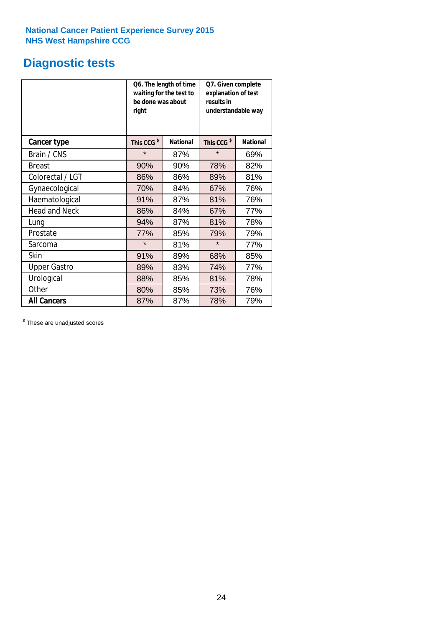### **Diagnostic tests**

|                      | be done was about<br>right | Q6. The length of time<br>waiting for the test to | Q7. Given complete<br>explanation of test<br>results in<br>understandable way |                 |  |  |
|----------------------|----------------------------|---------------------------------------------------|-------------------------------------------------------------------------------|-----------------|--|--|
| <b>Cancer type</b>   | This CCG <sup>\$</sup>     | <b>National</b>                                   | This CCG <sup>\$</sup>                                                        | <b>National</b> |  |  |
| Brain / CNS          | $\star$                    | 87%                                               | $\star$                                                                       | 69%             |  |  |
| <b>Breast</b>        | 90%                        | 90%                                               | 78%                                                                           | 82%             |  |  |
| Colorectal / LGT     | 86%                        | 86%                                               | 89%                                                                           | 81%             |  |  |
| Gynaecological       | 70%                        | 84%                                               | 67%                                                                           | 76%             |  |  |
| Haematological       | 91%                        | 87%                                               | 81%                                                                           | 76%             |  |  |
| <b>Head and Neck</b> | 86%                        | 84%                                               | 67%                                                                           | 77%             |  |  |
| Lung                 | 94%                        | 87%                                               | 81%                                                                           | 78%             |  |  |
| Prostate             | 77%                        | 85%                                               | 79%                                                                           | 79%             |  |  |
| Sarcoma              | $\star$                    | 81%                                               | $\star$                                                                       | 77%             |  |  |
| Skin                 | 91%                        | 89%                                               | 68%                                                                           | 85%             |  |  |
| <b>Upper Gastro</b>  | 89%                        | 83%                                               | 74%                                                                           | 77%             |  |  |
| Urological           | 88%                        | 85%                                               | 81%                                                                           | 78%             |  |  |
| Other                | 80%                        | 85%                                               | 73%                                                                           | 76%             |  |  |
| <b>All Cancers</b>   | 87%                        | 87%                                               | 78%                                                                           | 79%             |  |  |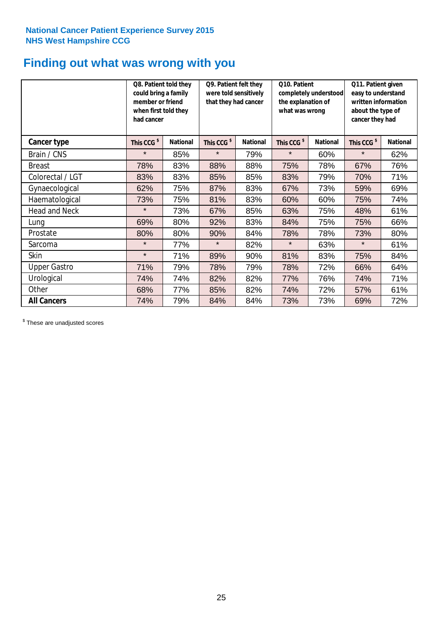# **Finding out what was wrong with you**

|                      | Q8. Patient told they<br>could bring a family<br>member or friend<br>when first told they<br>had cancer |                 | Q9. Patient felt they<br>were told sensitively<br>that they had cancer |                 | Q10. Patient<br>completely understood<br>the explanation of<br>what was wrong |                 | Q11. Patient given<br>easy to understand<br>written information<br>about the type of<br>cancer they had |                 |
|----------------------|---------------------------------------------------------------------------------------------------------|-----------------|------------------------------------------------------------------------|-----------------|-------------------------------------------------------------------------------|-----------------|---------------------------------------------------------------------------------------------------------|-----------------|
| Cancer type          | This CCG <sup>\$</sup>                                                                                  | <b>National</b> | This CCG <sup>\$</sup>                                                 | <b>National</b> | This CCG <sup>\$</sup>                                                        | <b>National</b> | This CCG <sup>\$</sup>                                                                                  | <b>National</b> |
| Brain / CNS          | $\star$                                                                                                 | 85%             | $\star$                                                                | 79%             | $\star$                                                                       | 60%             | $\star$                                                                                                 | 62%             |
| <b>Breast</b>        | 78%                                                                                                     | 83%             | 88%                                                                    | 88%             | 75%                                                                           | 78%             | 67%                                                                                                     | 76%             |
| Colorectal / LGT     | 83%                                                                                                     | 83%             | 85%                                                                    | 85%             | 83%                                                                           | 79%             | 70%                                                                                                     | 71%             |
| Gynaecological       | 62%                                                                                                     | 75%             | 87%                                                                    | 83%             | 67%                                                                           | 73%             | 59%                                                                                                     | 69%             |
| Haematological       | 73%                                                                                                     | 75%             | 81%                                                                    | 83%             | 60%                                                                           | 60%             | 75%                                                                                                     | 74%             |
| <b>Head and Neck</b> | $\star$                                                                                                 | 73%             | 67%                                                                    | 85%             | 63%                                                                           | 75%             | 48%                                                                                                     | 61%             |
| Lung                 | 69%                                                                                                     | 80%             | 92%                                                                    | 83%             | 84%                                                                           | 75%             | 75%                                                                                                     | 66%             |
| Prostate             | 80%                                                                                                     | 80%             | 90%                                                                    | 84%             | 78%                                                                           | 78%             | 73%                                                                                                     | 80%             |
| Sarcoma              | $\star$                                                                                                 | 77%             | $\star$                                                                | 82%             | $\star$                                                                       | 63%             | $\star$                                                                                                 | 61%             |
| Skin                 | $\star$                                                                                                 | 71%             | 89%                                                                    | 90%             | 81%                                                                           | 83%             | 75%                                                                                                     | 84%             |
| <b>Upper Gastro</b>  | 71%                                                                                                     | 79%             | 78%                                                                    | 79%             | 78%                                                                           | 72%             | 66%                                                                                                     | 64%             |
| Urological           | 74%                                                                                                     | 74%             | 82%                                                                    | 82%             | 77%                                                                           | 76%             | 74%                                                                                                     | 71%             |
| Other                | 68%                                                                                                     | 77%             | 85%                                                                    | 82%             | 74%                                                                           | 72%             | 57%                                                                                                     | 61%             |
| <b>All Cancers</b>   | 74%                                                                                                     | 79%             | 84%                                                                    | 84%             | 73%                                                                           | 73%             | 69%                                                                                                     | 72%             |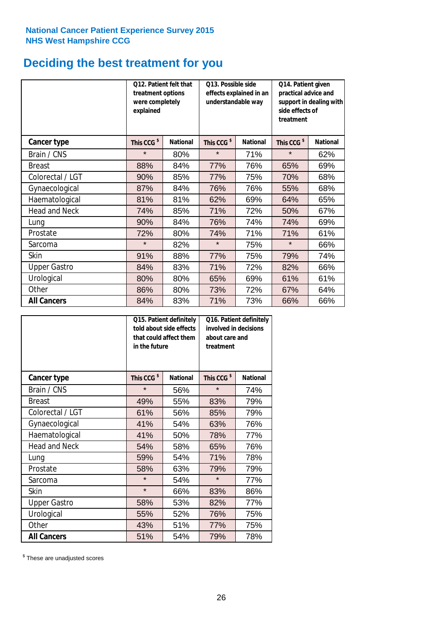### **Deciding the best treatment for you**

|                      | 012. Patient felt that<br>treatment options<br>were completely<br>explained |                 | O13. Possible side<br>understandable way | effects explained in an | Q14. Patient given<br>practical advice and<br>support in dealing with<br>side effects of<br>treatment |                 |  |
|----------------------|-----------------------------------------------------------------------------|-----------------|------------------------------------------|-------------------------|-------------------------------------------------------------------------------------------------------|-----------------|--|
| <b>Cancer type</b>   | This CCG <sup>\$</sup>                                                      | <b>National</b> | This CCG <sup>\$</sup>                   | <b>National</b>         | This CCG <sup>\$</sup>                                                                                | <b>National</b> |  |
| Brain / CNS          | $\star$                                                                     | 80%             | $\star$                                  | 71%                     | $\star$                                                                                               | 62%             |  |
| <b>Breast</b>        | 88%                                                                         | 84%             | 77%                                      | 76%                     | 65%                                                                                                   | 69%             |  |
| Colorectal / LGT     | 90%                                                                         | 85%             | 77%                                      | 75%                     | 70%                                                                                                   | 68%             |  |
| Gynaecological       | 87%                                                                         | 84%             | 76%                                      | 76%                     | 55%                                                                                                   | 68%             |  |
| Haematological       | 81%                                                                         | 81%             | 62%                                      | 69%                     | 64%                                                                                                   | 65%             |  |
| <b>Head and Neck</b> | 74%                                                                         | 85%             | 71%                                      | 72%                     | 50%                                                                                                   | 67%             |  |
| Lung                 | 90%                                                                         | 84%             | 76%                                      | 74%                     | 74%                                                                                                   | 69%             |  |
| Prostate             | 72%                                                                         | 80%             | 74%                                      | 71%                     | 71%                                                                                                   | 61%             |  |
| Sarcoma              | $\star$                                                                     | 82%             | $\star$                                  | 75%                     | $\star$                                                                                               | 66%             |  |
| Skin                 | 91%                                                                         | 88%             | 77%                                      | 75%                     | 79%                                                                                                   | 74%             |  |
| <b>Upper Gastro</b>  | 84%                                                                         | 83%             | 71%                                      | 72%                     | 82%                                                                                                   | 66%             |  |
| Urological           | 80%                                                                         | 80%             | 65%                                      | 69%                     | 61%                                                                                                   | 61%             |  |
| Other                | 86%                                                                         | 80%             | 73%                                      | 72%                     | 67%                                                                                                   | 64%             |  |
| <b>All Cancers</b>   | 84%                                                                         | 83%             | 71%                                      | 73%                     | 66%                                                                                                   | 66%             |  |

|                      | in the future          | Q15. Patient definitely<br>told about side effects<br>that could affect them | Q16. Patient definitely<br>involved in decisions<br>about care and<br>treatment |                 |  |
|----------------------|------------------------|------------------------------------------------------------------------------|---------------------------------------------------------------------------------|-----------------|--|
| <b>Cancer type</b>   | This CCG <sup>\$</sup> | <b>National</b>                                                              | This CCG <sup>\$</sup>                                                          | <b>National</b> |  |
| Brain / CNS          | $\star$                | 56%                                                                          | $\star$                                                                         | 74%             |  |
| <b>Breast</b>        | 49%                    | 55%                                                                          | 83%                                                                             | 79%             |  |
| Colorectal / LGT     | 61%                    | 56%                                                                          | 85%                                                                             | 79%             |  |
| Gynaecological       | 41%                    | 54%                                                                          | 63%                                                                             | 76%             |  |
| Haematological       | 41%                    | 50%                                                                          | 78%                                                                             | 77%             |  |
| <b>Head and Neck</b> | 54%                    | 58%                                                                          | 65%                                                                             | 76%             |  |
| Lung                 | 59%                    | 54%                                                                          | 71%                                                                             | 78%             |  |
| Prostate             | 58%                    | 63%                                                                          | 79%                                                                             | 79%             |  |
| Sarcoma              | $\star$                | 54%                                                                          | $\star$                                                                         | 77%             |  |
| Skin                 | $\star$                | 66%                                                                          | 83%                                                                             | 86%             |  |
| <b>Upper Gastro</b>  | 58%                    | 53%                                                                          | 82%                                                                             | 77%             |  |
| Urological           | 55%                    | 52%                                                                          | 76%                                                                             | 75%             |  |
| Other                | 43%                    | 51%                                                                          | 77%                                                                             | 75%             |  |
| <b>All Cancers</b>   | 51%                    | 54%                                                                          | 79%                                                                             | 78%             |  |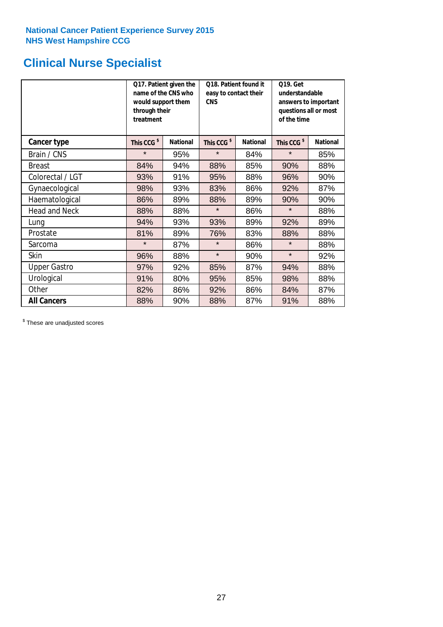# **Clinical Nurse Specialist**

|                      | would support them<br>through their<br>treatment | Q17. Patient given the<br>name of the CNS who | Q18. Patient found it<br>easy to contact their<br><b>CNS</b> |                 | <b>Q19. Get</b><br>understandable<br>answers to important<br>questions all or most<br>of the time |                 |  |
|----------------------|--------------------------------------------------|-----------------------------------------------|--------------------------------------------------------------|-----------------|---------------------------------------------------------------------------------------------------|-----------------|--|
| <b>Cancer type</b>   | This CCG <sup>\$</sup>                           | <b>National</b>                               | This CCG <sup>\$</sup>                                       | <b>National</b> | This CCG <sup>\$</sup>                                                                            | <b>National</b> |  |
| Brain / CNS          | $\star$                                          | 95%                                           | $\star$                                                      | 84%             | $\star$                                                                                           | 85%             |  |
| <b>Breast</b>        | 84%                                              | 94%                                           | 88%                                                          | 85%             | 90%                                                                                               | 88%             |  |
| Colorectal / LGT     | 93%                                              | 91%                                           | 95%                                                          | 88%             | 96%                                                                                               | 90%             |  |
| Gynaecological       | 98%                                              | 93%                                           | 83%                                                          | 86%             | 92%                                                                                               | 87%             |  |
| Haematological       | 86%                                              | 89%                                           | 88%                                                          | 89%             | 90%                                                                                               | 90%             |  |
| <b>Head and Neck</b> | 88%                                              | 88%                                           | $\star$                                                      | 86%             | $\star$                                                                                           | 88%             |  |
| Lung                 | 94%                                              | 93%                                           | 93%                                                          | 89%             | 92%                                                                                               | 89%             |  |
| Prostate             | 81%                                              | 89%                                           | 76%                                                          | 83%             | 88%                                                                                               | 88%             |  |
| Sarcoma              | $\star$                                          | 87%                                           | $\star$                                                      | 86%             | $\star$                                                                                           | 88%             |  |
| Skin                 | 96%                                              | 88%                                           | $\star$                                                      | 90%             | $\star$                                                                                           | 92%             |  |
| <b>Upper Gastro</b>  | 97%                                              | 92%                                           | 85%                                                          | 87%             | 94%                                                                                               | 88%             |  |
| Urological           | 91%                                              | 80%                                           | 95%                                                          | 85%             | 98%                                                                                               | 88%             |  |
| Other                | 82%                                              | 86%                                           | 92%                                                          | 86%             | 84%                                                                                               | 87%             |  |
| <b>All Cancers</b>   | 88%                                              | 90%                                           | 88%                                                          | 87%             | 91%                                                                                               | 88%             |  |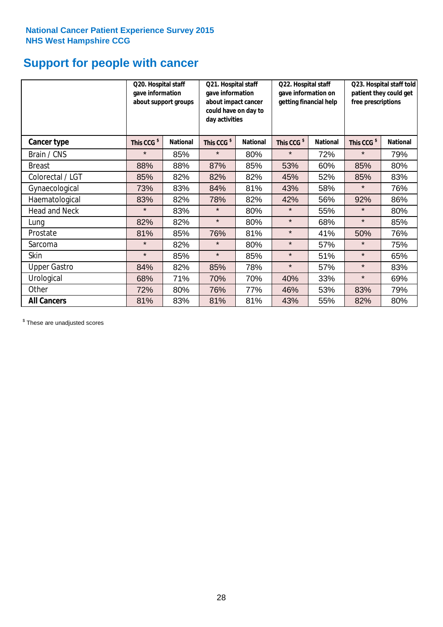### **Support for people with cancer**

|                      | Q20. Hospital staff<br>gave information | about support groups | Q21. Hospital staff<br>gave information<br>about impact cancer<br>could have on day to<br>day activities |                 | Q22. Hospital staff<br>gave information on<br>getting financial help |                 | Q23. Hospital staff told<br>patient they could get<br>free prescriptions |                 |
|----------------------|-----------------------------------------|----------------------|----------------------------------------------------------------------------------------------------------|-----------------|----------------------------------------------------------------------|-----------------|--------------------------------------------------------------------------|-----------------|
| Cancer type          | This CCG <sup>\$</sup>                  | <b>National</b>      | This CCG <sup>\$</sup>                                                                                   | <b>National</b> | This CCG <sup>\$</sup>                                               | <b>National</b> | This CCG <sup>\$</sup>                                                   | <b>National</b> |
| Brain / CNS          | $\star$                                 | 85%                  | $\star$                                                                                                  | 80%             | $\star$                                                              | 72%             | $\star$                                                                  | 79%             |
| <b>Breast</b>        | 88%                                     | 88%                  | 87%                                                                                                      | 85%             | 53%                                                                  | 60%             | 85%                                                                      | 80%             |
| Colorectal / LGT     | 85%                                     | 82%                  | 82%                                                                                                      | 82%             | 45%                                                                  | 52%             | 85%                                                                      | 83%             |
| Gynaecological       | 73%                                     | 83%                  | 84%                                                                                                      | 81%             | 43%                                                                  | 58%             | $\star$                                                                  | 76%             |
| Haematological       | 83%                                     | 82%                  | 78%                                                                                                      | 82%             | 42%                                                                  | 56%             | 92%                                                                      | 86%             |
| <b>Head and Neck</b> | $\star$                                 | 83%                  | $\star$                                                                                                  | 80%             | $\star$                                                              | 55%             | $\star$                                                                  | 80%             |
| Lung                 | 82%                                     | 82%                  | $\star$                                                                                                  | 80%             | $\star$                                                              | 68%             | $\star$                                                                  | 85%             |
| Prostate             | 81%                                     | 85%                  | 76%                                                                                                      | 81%             | $\star$                                                              | 41%             | 50%                                                                      | 76%             |
| Sarcoma              | $\star$                                 | 82%                  | $\star$                                                                                                  | 80%             | $\star$                                                              | 57%             | $\star$                                                                  | 75%             |
| Skin                 | $\star$                                 | 85%                  | $\star$                                                                                                  | 85%             | $\star$                                                              | 51%             | $\star$                                                                  | 65%             |
| <b>Upper Gastro</b>  | 84%                                     | 82%                  | 85%                                                                                                      | 78%             | $\star$                                                              | 57%             | $\star$                                                                  | 83%             |
| Urological           | 68%                                     | 71%                  | 70%                                                                                                      | 70%             | 40%                                                                  | 33%             | $\star$                                                                  | 69%             |
| Other                | 72%                                     | 80%                  | 76%                                                                                                      | 77%             | 46%                                                                  | 53%             | 83%                                                                      | 79%             |
| <b>All Cancers</b>   | 81%                                     | 83%                  | 81%                                                                                                      | 81%             | 43%                                                                  | 55%             | 82%                                                                      | 80%             |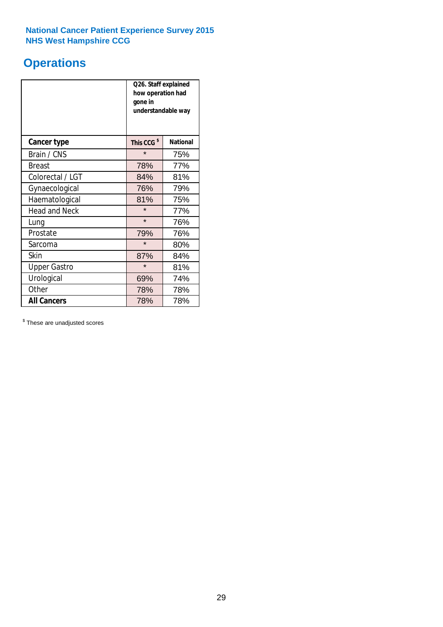### **Operations**

|                      | Q26. Staff explained<br>how operation had<br>gone in<br>understandable way |                 |  |  |
|----------------------|----------------------------------------------------------------------------|-----------------|--|--|
| <b>Cancer type</b>   | This CCG <sup>\$</sup>                                                     | <b>National</b> |  |  |
| Brain / CNS          | $\star$                                                                    | 75%             |  |  |
| <b>Breast</b>        | 78%                                                                        | 77%             |  |  |
| Colorectal / LGT     | 84%                                                                        | 81%             |  |  |
| Gynaecological       | 76%                                                                        | 79%             |  |  |
| Haematological       | 81%                                                                        | 75%             |  |  |
| <b>Head and Neck</b> | $\star$                                                                    | 77%             |  |  |
| Lung                 | $\star$                                                                    | 76%             |  |  |
| Prostate             | 79%                                                                        | 76%             |  |  |
| Sarcoma              | $\star$                                                                    | 80%             |  |  |
| Skin                 | 87%                                                                        | 84%             |  |  |
| <b>Upper Gastro</b>  | $\star$                                                                    | 81%             |  |  |
| Urological           | 69%                                                                        | 74%             |  |  |
| Other                | 78%                                                                        | 78%             |  |  |
| <b>All Cancers</b>   | 78%                                                                        | 78%             |  |  |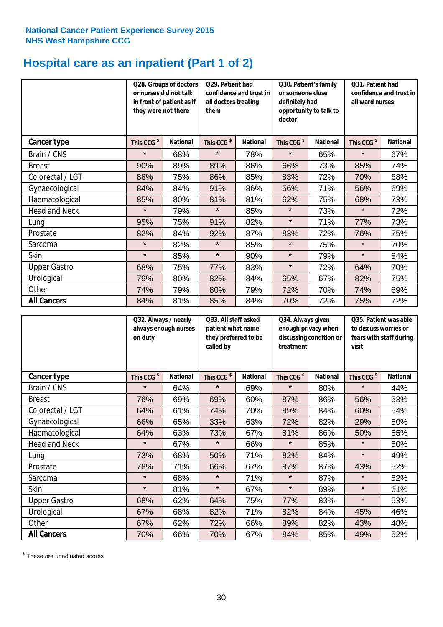### **Hospital care as an inpatient (Part 1 of 2)**

|                      | or nurses did not talk<br>they were not there | Q28. Groups of doctors<br>in front of patient as if | Q29. Patient had<br>confidence and trust in<br>all doctors treating<br>them |                 | Q30. Patient's family<br>or someone close<br>definitely had<br>opportunity to talk to<br>doctor |                 | Q31. Patient had<br>confidence and trust in I<br>all ward nurses |                 |
|----------------------|-----------------------------------------------|-----------------------------------------------------|-----------------------------------------------------------------------------|-----------------|-------------------------------------------------------------------------------------------------|-----------------|------------------------------------------------------------------|-----------------|
| Cancer type          | This CCG <sup>\$</sup>                        | <b>National</b>                                     | This CCG <sup>\$</sup>                                                      | <b>National</b> | This CCG <sup>\$</sup>                                                                          | <b>National</b> | This CCG <sup>\$</sup>                                           | <b>National</b> |
| Brain / CNS          | $\star$                                       | 68%                                                 | $\star$                                                                     | 78%             | $\star$                                                                                         | 65%             | $\star$                                                          | 67%             |
| <b>Breast</b>        | 90%                                           | 89%                                                 | 89%                                                                         | 86%             | 66%                                                                                             | 73%             | 85%                                                              | 74%             |
| Colorectal / LGT     | 88%                                           | 75%                                                 | 86%                                                                         | 85%             | 83%                                                                                             | 72%             | 70%                                                              | 68%             |
| Gynaecological       | 84%                                           | 84%                                                 | 91%                                                                         | 86%             | 56%                                                                                             | 71%             | 56%                                                              | 69%             |
| Haematological       | 85%                                           | 80%                                                 | 81%                                                                         | 81%             | 62%                                                                                             | 75%             | 68%                                                              | 73%             |
| <b>Head and Neck</b> | $\star$                                       | 79%                                                 | $\star$                                                                     | 85%             | $\star$                                                                                         | 73%             | $\star$                                                          | 72%             |
| Lung                 | 95%                                           | 75%                                                 | 91%                                                                         | 82%             | $\star$                                                                                         | 71%             | 77%                                                              | 73%             |
| Prostate             | 82%                                           | 84%                                                 | 92%                                                                         | 87%             | 83%                                                                                             | 72%             | 76%                                                              | 75%             |
| Sarcoma              | $\star$                                       | 82%                                                 | $\star$                                                                     | 85%             | $\star$                                                                                         | 75%             | $\star$                                                          | 70%             |
| Skin                 | $\star$                                       | 85%                                                 | $\star$                                                                     | 90%             | $\star$                                                                                         | 79%             | $\star$                                                          | 84%             |
| <b>Upper Gastro</b>  | 68%                                           | 75%                                                 | 77%                                                                         | 83%             | $\star$                                                                                         | 72%             | 64%                                                              | 70%             |
| Urological           | 79%                                           | 80%                                                 | 82%                                                                         | 84%             | 65%                                                                                             | 67%             | 82%                                                              | 75%             |
| Other                | 74%                                           | 79%                                                 | 80%                                                                         | 79%             | 72%                                                                                             | 70%             | 74%                                                              | 69%             |
| <b>All Cancers</b>   | 84%                                           | 81%                                                 | 85%                                                                         | 84%             | 70%                                                                                             | 72%             | 75%                                                              | 72%             |

|                      | on duty                | Q32. Always / nearly<br>always enough nurses |                        | Q33. All staff asked<br>patient what name<br>they preferred to be<br>called by |                        | Q34. Always given<br>enough privacy when<br>discussing condition or<br>treatment |                        | Q35. Patient was able<br>to discuss worries or<br>fears with staff during<br>visit |  |
|----------------------|------------------------|----------------------------------------------|------------------------|--------------------------------------------------------------------------------|------------------------|----------------------------------------------------------------------------------|------------------------|------------------------------------------------------------------------------------|--|
| <b>Cancer type</b>   | This CCG <sup>\$</sup> | <b>National</b>                              | This CCG <sup>\$</sup> | <b>National</b>                                                                | This CCG <sup>\$</sup> | <b>National</b>                                                                  | This CCG <sup>\$</sup> | <b>National</b>                                                                    |  |
| Brain / CNS          | $\star$                | 64%                                          | $\star$                | 69%                                                                            | $\star$                | 80%                                                                              | $\star$                | 44%                                                                                |  |
| <b>Breast</b>        | 76%                    | 69%                                          | 69%                    | 60%                                                                            | 87%                    | 86%                                                                              | 56%                    | 53%                                                                                |  |
| Colorectal / LGT     | 64%                    | 61%                                          | 74%                    | 70%                                                                            | 89%                    | 84%                                                                              | 60%                    | 54%                                                                                |  |
| Gynaecological       | 66%                    | 65%                                          | 33%                    | 63%                                                                            | 72%                    | 82%                                                                              | 29%                    | 50%                                                                                |  |
| Haematological       | 64%                    | 63%                                          | 73%                    | 67%                                                                            | 81%                    | 86%                                                                              | 50%                    | 55%                                                                                |  |
| <b>Head and Neck</b> | $\star$                | 67%                                          | $\star$                | 66%                                                                            | $\star$                | 85%                                                                              | $\star$                | 50%                                                                                |  |
| Lung                 | 73%                    | 68%                                          | 50%                    | 71%                                                                            | 82%                    | 84%                                                                              | $\star$                | 49%                                                                                |  |
| Prostate             | 78%                    | 71%                                          | 66%                    | 67%                                                                            | 87%                    | 87%                                                                              | 43%                    | 52%                                                                                |  |
| Sarcoma              | $\star$                | 68%                                          | $\star$                | 71%                                                                            | $\star$                | 87%                                                                              | $\star$                | 52%                                                                                |  |
| Skin                 | $\star$                | 81%                                          | $\star$                | 67%                                                                            | $\star$                | 89%                                                                              | $\star$                | 61%                                                                                |  |
| <b>Upper Gastro</b>  | 68%                    | 62%                                          | 64%                    | 75%                                                                            | 77%                    | 83%                                                                              | $\star$                | 53%                                                                                |  |
| Urological           | 67%                    | 68%                                          | 82%                    | 71%                                                                            | 82%                    | 84%                                                                              | 45%                    | 46%                                                                                |  |
| Other                | 67%                    | 62%                                          | 72%                    | 66%                                                                            | 89%                    | 82%                                                                              | 43%                    | 48%                                                                                |  |
| <b>All Cancers</b>   | 70%                    | 66%                                          | 70%                    | 67%                                                                            | 84%                    | 85%                                                                              | 49%                    | 52%                                                                                |  |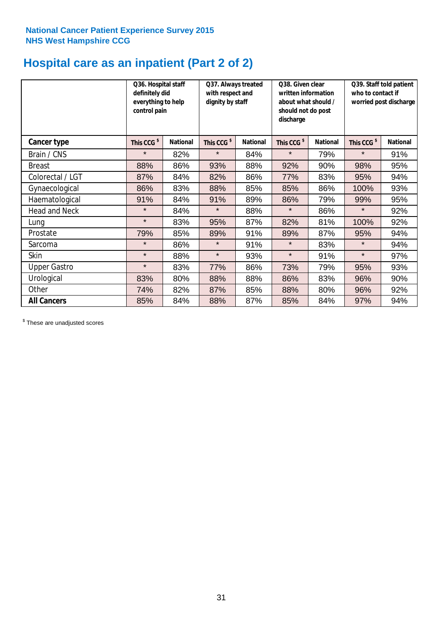### **Hospital care as an inpatient (Part 2 of 2)**

|                      | Q36. Hospital staff<br>definitely did<br>everything to help<br>control pain |                 | Q37. Always treated<br>with respect and<br>dignity by staff |                 | Q38. Given clear<br>written information<br>about what should /<br>should not do post<br>discharge |                 | Q39. Staff told patient<br>who to contact if<br>worried post discharge |                 |
|----------------------|-----------------------------------------------------------------------------|-----------------|-------------------------------------------------------------|-----------------|---------------------------------------------------------------------------------------------------|-----------------|------------------------------------------------------------------------|-----------------|
| <b>Cancer type</b>   | This CCG <sup>\$</sup>                                                      | <b>National</b> | This CCG <sup>\$</sup>                                      | <b>National</b> | This CCG <sup>\$</sup>                                                                            | <b>National</b> | This CCG <sup>\$</sup>                                                 | <b>National</b> |
| Brain / CNS          | $\star$                                                                     | 82%             | $\star$                                                     | 84%             | $\star$                                                                                           | 79%             | $\star$                                                                | 91%             |
| <b>Breast</b>        | 88%                                                                         | 86%             | 93%                                                         | 88%             | 92%                                                                                               | 90%             | 98%                                                                    | 95%             |
| Colorectal / LGT     | 87%                                                                         | 84%             | 82%                                                         | 86%             | 77%                                                                                               | 83%             | 95%                                                                    | 94%             |
| Gynaecological       | 86%                                                                         | 83%             | 88%                                                         | 85%             | 85%                                                                                               | 86%             | 100%                                                                   | 93%             |
| Haematological       | 91%                                                                         | 84%             | 91%                                                         | 89%             | 86%                                                                                               | 79%             | 99%                                                                    | 95%             |
| <b>Head and Neck</b> | $\star$                                                                     | 84%             | $\star$                                                     | 88%             | $\star$                                                                                           | 86%             | $\star$                                                                | 92%             |
| Lung                 | $\star$                                                                     | 83%             | 95%                                                         | 87%             | 82%                                                                                               | 81%             | 100%                                                                   | 92%             |
| Prostate             | 79%                                                                         | 85%             | 89%                                                         | 91%             | 89%                                                                                               | 87%             | 95%                                                                    | 94%             |
| Sarcoma              | $\star$                                                                     | 86%             | $\star$                                                     | 91%             | $\star$                                                                                           | 83%             | $\star$                                                                | 94%             |
| Skin                 | $\star$                                                                     | 88%             | $\star$                                                     | 93%             | $\star$                                                                                           | 91%             | $\star$                                                                | 97%             |
| <b>Upper Gastro</b>  | $\star$                                                                     | 83%             | 77%                                                         | 86%             | 73%                                                                                               | 79%             | 95%                                                                    | 93%             |
| Urological           | 83%                                                                         | 80%             | 88%                                                         | 88%             | 86%                                                                                               | 83%             | 96%                                                                    | 90%             |
| Other                | 74%                                                                         | 82%             | 87%                                                         | 85%             | 88%                                                                                               | 80%             | 96%                                                                    | 92%             |
| <b>All Cancers</b>   | 85%                                                                         | 84%             | 88%                                                         | 87%             | 85%                                                                                               | 84%             | 97%                                                                    | 94%             |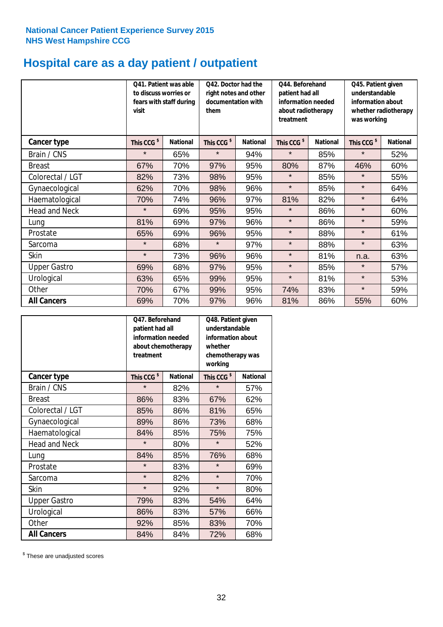# **Hospital care as a day patient / outpatient**

|                      | to discuss worries or<br>visit | Q41. Patient was able<br>fears with staff during | Q42. Doctor had the<br>right notes and other<br>documentation with<br>them |                 | Q44. Beforehand<br>patient had all<br>information needed<br>about radiotherapy<br>treatment |                 | Q45. Patient given<br>understandable<br>information about<br>whether radiotherapy<br>was working |                 |
|----------------------|--------------------------------|--------------------------------------------------|----------------------------------------------------------------------------|-----------------|---------------------------------------------------------------------------------------------|-----------------|--------------------------------------------------------------------------------------------------|-----------------|
| <b>Cancer type</b>   | This CCG <sup>\$</sup>         | <b>National</b>                                  | This CCG <sup>\$</sup>                                                     | <b>National</b> | This CCG <sup>\$</sup>                                                                      | <b>National</b> | This CCG <sup>\$</sup>                                                                           | <b>National</b> |
| Brain / CNS          | $\star$                        | 65%                                              | $\star$                                                                    | 94%             | $\star$                                                                                     | 85%             | $\star$                                                                                          | 52%             |
| <b>Breast</b>        | 67%                            | 70%                                              | 97%                                                                        | 95%             | 80%                                                                                         | 87%             | 46%                                                                                              | 60%             |
| Colorectal / LGT     | 82%                            | 73%                                              | 98%                                                                        | 95%             | $\star$                                                                                     | 85%             | $\star$                                                                                          | 55%             |
| Gynaecological       | 62%                            | 70%                                              | 98%                                                                        | 96%             | $\star$                                                                                     | 85%             | $\star$                                                                                          | 64%             |
| Haematological       | 70%                            | 74%                                              | 96%                                                                        | 97%             | 81%                                                                                         | 82%             | $\star$                                                                                          | 64%             |
| <b>Head and Neck</b> | $\star$                        | 69%                                              | 95%                                                                        | 95%             | $\star$                                                                                     | 86%             | $\star$                                                                                          | 60%             |
| Lung                 | 81%                            | 69%                                              | 97%                                                                        | 96%             | $\star$                                                                                     | 86%             | $\star$                                                                                          | 59%             |
| Prostate             | 65%                            | 69%                                              | 96%                                                                        | 95%             | $\star$                                                                                     | 88%             | $\star$                                                                                          | 61%             |
| Sarcoma              | $\star$                        | 68%                                              | $\star$                                                                    | 97%             | $\star$                                                                                     | 88%             | $\star$                                                                                          | 63%             |
| Skin                 | $\star$                        | 73%                                              | 96%                                                                        | 96%             | $\star$                                                                                     | 81%             | n.a.                                                                                             | 63%             |
| <b>Upper Gastro</b>  | 69%                            | 68%                                              | 97%                                                                        | 95%             | $\star$                                                                                     | 85%             | $\star$                                                                                          | 57%             |
| Urological           | 63%                            | 65%                                              | 99%                                                                        | 95%             | $\star$                                                                                     | 81%             | $\star$                                                                                          | 53%             |
| Other                | 70%                            | 67%                                              | 99%                                                                        | 95%             | 74%                                                                                         | 83%             | $\star$                                                                                          | 59%             |
| <b>All Cancers</b>   | 69%                            | 70%                                              | 97%                                                                        | 96%             | 81%                                                                                         | 86%             | 55%                                                                                              | 60%             |

|                      | O47. Beforehand<br>patient had all<br>information needed<br>about chemotherapy<br>treatment |                 | Q48. Patient given<br>understandable<br>information about<br>whether<br>chemotherapy was<br>working |                 |  |
|----------------------|---------------------------------------------------------------------------------------------|-----------------|-----------------------------------------------------------------------------------------------------|-----------------|--|
| <b>Cancer type</b>   | This CCG <sup>\$</sup>                                                                      | <b>National</b> | This CCG <sup>\$</sup>                                                                              | <b>National</b> |  |
| Brain / CNS          | $\star$                                                                                     | 82%             | $\star$                                                                                             | 57%             |  |
| <b>Breast</b>        | 86%                                                                                         | 83%             | 67%                                                                                                 | 62%             |  |
| Colorectal / LGT     | 85%                                                                                         | 86%             | 81%                                                                                                 | 65%             |  |
| Gynaecological       | 89%                                                                                         | 86%             | 73%                                                                                                 | 68%             |  |
| Haematological       | 84%<br>85%                                                                                  |                 | 75%                                                                                                 | 75%             |  |
| <b>Head and Neck</b> | $\star$                                                                                     | 80%             | $\star$                                                                                             | 52%             |  |
| Lung                 | 84%                                                                                         | 85%             | 76%                                                                                                 | 68%             |  |
| Prostate             | $\star$                                                                                     | 83%             | $\star$                                                                                             | 69%             |  |
| Sarcoma              | $\star$                                                                                     | 82%             | $\star$                                                                                             | 70%             |  |
| Skin                 | $\star$                                                                                     | 92%             | $\star$                                                                                             | 80%             |  |
| <b>Upper Gastro</b>  | 79%                                                                                         | 83%             | 54%                                                                                                 | 64%             |  |
| Urological           | 86%                                                                                         | 83%             | 57%                                                                                                 | 66%             |  |
| Other                | 92%                                                                                         | 85%             | 83%                                                                                                 | 70%             |  |
| <b>All Cancers</b>   | 84%                                                                                         | 84%             | 72%                                                                                                 | 68%             |  |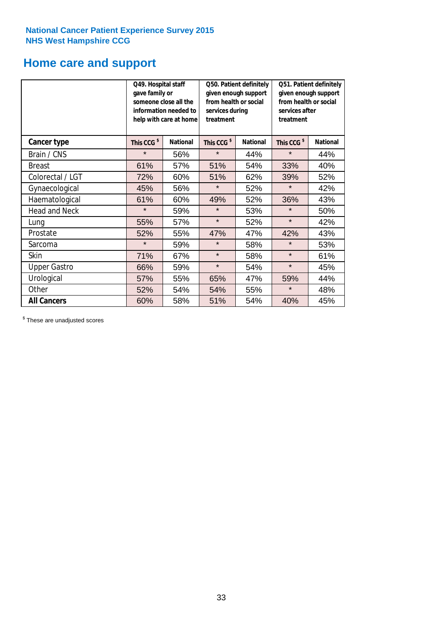### **Home care and support**

|                      | Q49. Hospital staff<br>gave family or | someone close all the<br>information needed to<br>help with care at home | Q50. Patient definitely<br>given enough support<br>from health or social<br>services during<br>treatment |     | Q51. Patient definitely<br>given enough support<br>from health or social<br>services after<br>treatment |                 |  |
|----------------------|---------------------------------------|--------------------------------------------------------------------------|----------------------------------------------------------------------------------------------------------|-----|---------------------------------------------------------------------------------------------------------|-----------------|--|
| <b>Cancer type</b>   | This CCG <sup>\$</sup>                | <b>National</b>                                                          | This CCG <sup>\$</sup><br><b>National</b>                                                                |     | This CCG <sup>\$</sup>                                                                                  | <b>National</b> |  |
| Brain / CNS          | $\star$                               | 56%                                                                      | $\star$                                                                                                  | 44% | $\star$                                                                                                 | 44%             |  |
| <b>Breast</b>        | 61%                                   | 57%                                                                      | 51%                                                                                                      | 54% | 33%                                                                                                     | 40%             |  |
| Colorectal / LGT     | 72%                                   | 60%                                                                      | 51%                                                                                                      | 62% | 39%                                                                                                     | 52%             |  |
| Gynaecological       | 45%                                   | 56%                                                                      | $\star$                                                                                                  | 52% | $\star$                                                                                                 | 42%             |  |
| Haematological       | 61%                                   | 60%                                                                      | 49%                                                                                                      | 52% | 36%                                                                                                     | 43%             |  |
| <b>Head and Neck</b> | $\star$                               | 59%                                                                      | $\star$                                                                                                  | 53% | $\star$                                                                                                 | 50%             |  |
| Lung                 | 55%                                   | 57%                                                                      | $\star$                                                                                                  | 52% | $\star$                                                                                                 | 42%             |  |
| Prostate             | 52%                                   | 55%                                                                      | 47%                                                                                                      | 47% | 42%                                                                                                     | 43%             |  |
| Sarcoma              | $\star$                               | 59%                                                                      | $\star$                                                                                                  | 58% | $\star$                                                                                                 | 53%             |  |
| Skin                 | 71%                                   | 67%                                                                      | $\star$                                                                                                  | 58% | $\star$                                                                                                 | 61%             |  |
| <b>Upper Gastro</b>  | 66%                                   | 59%                                                                      | $\star$                                                                                                  | 54% | $\star$                                                                                                 | 45%             |  |
| Urological           | 57%                                   | 55%                                                                      | 65%                                                                                                      | 47% | 59%                                                                                                     | 44%             |  |
| Other                | 52%                                   | 54%                                                                      | 54%                                                                                                      | 55% | $\star$                                                                                                 | 48%             |  |
| <b>All Cancers</b>   | 60%                                   | 58%                                                                      | 51%                                                                                                      | 54% | 40%                                                                                                     | 45%             |  |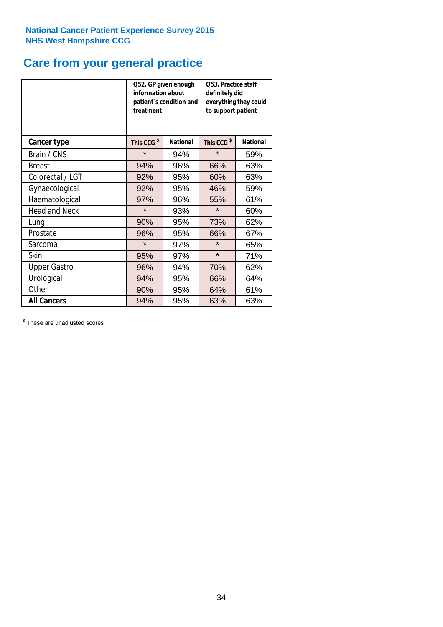### **Care from your general practice**

|                      | information about<br>treatment | Q52. GP given enough<br>patient's condition and | O53. Practice staff<br>definitely did<br>everything they could<br>to support patient |                 |  |
|----------------------|--------------------------------|-------------------------------------------------|--------------------------------------------------------------------------------------|-----------------|--|
| <b>Cancer type</b>   | This CCG <sup>\$</sup>         | <b>National</b>                                 | This CCG <sup>\$</sup>                                                               | <b>National</b> |  |
| Brain / CNS          | $\star$                        | 94%                                             | $\star$                                                                              | 59%             |  |
| <b>Breast</b>        | 94%                            | 96%                                             | 66%                                                                                  | 63%             |  |
| Colorectal / LGT     | 92%                            | 95%                                             | 60%                                                                                  | 63%             |  |
| Gynaecological       | 92%                            | 95%                                             | 46%                                                                                  | 59%             |  |
| Haematological       | 97%                            | 96%                                             | 55%                                                                                  | 61%             |  |
| <b>Head and Neck</b> | $\star$                        | 93%                                             | $\star$                                                                              | 60%             |  |
| Lung                 | 90%                            | 95%                                             | 73%                                                                                  | 62%             |  |
| Prostate             | 96%                            | 95%                                             | 66%                                                                                  | 67%             |  |
| Sarcoma              | $\star$                        | 97%                                             | $\star$                                                                              | 65%             |  |
| Skin                 | 95%                            | 97%                                             | $\star$                                                                              | 71%             |  |
| <b>Upper Gastro</b>  | 96%                            | 94%                                             | 70%                                                                                  | 62%             |  |
| Urological           | 94%                            | 95%                                             | 66%                                                                                  | 64%             |  |
| Other                | 90%                            | 95%                                             | 64%                                                                                  | 61%             |  |
| <b>All Cancers</b>   | 94%                            | 95%                                             | 63%                                                                                  | 63%             |  |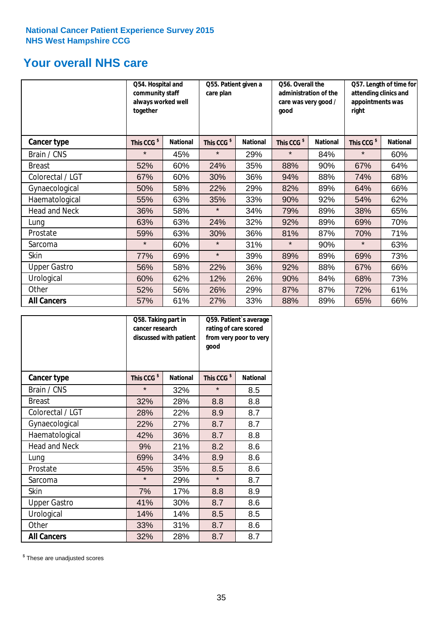### **Your overall NHS care**

|                      | together               | Q54. Hospital and<br>community staff<br>always worked well |                        | Q55. Patient given a<br>care plan |                        | Q56. Overall the<br>administration of the<br>care was very good /<br>good |                        | Q57. Length of time for<br>attending clinics and<br>appointments was<br>right |  |
|----------------------|------------------------|------------------------------------------------------------|------------------------|-----------------------------------|------------------------|---------------------------------------------------------------------------|------------------------|-------------------------------------------------------------------------------|--|
| <b>Cancer type</b>   | This CCG <sup>\$</sup> | <b>National</b>                                            | This CCG <sup>\$</sup> | <b>National</b>                   | This CCG <sup>\$</sup> | <b>National</b>                                                           | This CCG <sup>\$</sup> | <b>National</b>                                                               |  |
| Brain / CNS          | $\star$                | 45%                                                        | $\star$                | 29%                               | $\star$                | 84%                                                                       | $\star$                | 60%                                                                           |  |
| <b>Breast</b>        | 52%                    | 60%                                                        | 24%                    | 35%                               | 88%                    | 90%                                                                       | 67%                    | 64%                                                                           |  |
| Colorectal / LGT     | 67%                    | 60%                                                        | 30%                    | 36%                               | 94%                    | 88%                                                                       | 74%                    | 68%                                                                           |  |
| Gynaecological       | 50%                    | 58%                                                        | 22%                    | 29%                               | 82%                    | 89%                                                                       | 64%                    | 66%                                                                           |  |
| Haematological       | 55%                    | 63%                                                        | 35%                    | 33%                               | 90%                    | 92%                                                                       | 54%                    | 62%                                                                           |  |
| <b>Head and Neck</b> | 36%                    | 58%                                                        | $\star$                | 34%                               | 79%                    | 89%                                                                       | 38%                    | 65%                                                                           |  |
| Lung                 | 63%                    | 63%                                                        | 24%                    | 32%                               | 92%                    | 89%                                                                       | 69%                    | 70%                                                                           |  |
| Prostate             | 59%                    | 63%                                                        | 30%                    | 36%                               | 81%                    | 87%                                                                       | 70%                    | 71%                                                                           |  |
| Sarcoma              | $\star$                | 60%                                                        | $\star$                | 31%                               | $\star$                | 90%                                                                       | $\star$                | 63%                                                                           |  |
| Skin                 | 77%                    | 69%                                                        | $\star$                | 39%                               | 89%                    | 89%                                                                       | 69%                    | 73%                                                                           |  |
| <b>Upper Gastro</b>  | 56%                    | 58%                                                        | 22%                    | 36%                               | 92%                    | 88%                                                                       | 67%                    | 66%                                                                           |  |
| Urological           | 60%                    | 62%                                                        | 12%                    | 26%                               | 90%                    | 84%                                                                       | 68%                    | 73%                                                                           |  |
| Other                | 52%                    | 56%                                                        | 26%                    | 29%                               | 87%                    | 87%                                                                       | 72%                    | 61%                                                                           |  |
| <b>All Cancers</b>   | 57%                    | 61%                                                        | 27%                    | 33%                               | 88%                    | 89%                                                                       | 65%                    | 66%                                                                           |  |

|                      | Q58. Taking part in<br>cancer research | discussed with patient | Q59. Patient's average<br>rating of care scored<br>from very poor to very<br>good |                 |  |
|----------------------|----------------------------------------|------------------------|-----------------------------------------------------------------------------------|-----------------|--|
| <b>Cancer type</b>   | This CCG <sup>\$</sup>                 | <b>National</b>        | This CCG <sup>\$</sup>                                                            | <b>National</b> |  |
| Brain / CNS          | $\star$                                | 32%                    | $\star$                                                                           | 8.5             |  |
| <b>Breast</b>        | 32%                                    | 28%                    | 8.8                                                                               | 8.8             |  |
| Colorectal / LGT     | 28%                                    | 22%                    | 8.9                                                                               | 8.7             |  |
| Gynaecological       | 22%                                    | 27%                    | 8.7                                                                               | 8.7             |  |
| Haematological       | 42%                                    | 36%                    | 8.7                                                                               | 8.8             |  |
| <b>Head and Neck</b> | 9%                                     | 21%                    | 8.2                                                                               | 8.6             |  |
| Lung                 | 69%                                    | 34%                    | 8.9                                                                               | 8.6             |  |
| Prostate             | 45%                                    | 35%                    | 8.5                                                                               | 8.6             |  |
| Sarcoma              | $\star$                                | 29%                    | $\star$                                                                           | 8.7             |  |
| Skin                 | 7%                                     | 17%                    | 8.8                                                                               | 8.9             |  |
| <b>Upper Gastro</b>  | 41%                                    | 30%                    | 8.7                                                                               | 8.6             |  |
| Urological           | 14%                                    | 14%                    | 8.5                                                                               | 8.5             |  |
| Other                | 33%                                    | 31%                    | 8.7                                                                               | 8.6             |  |
| <b>All Cancers</b>   | 32%                                    | 28%                    | 8.7                                                                               | 8.7             |  |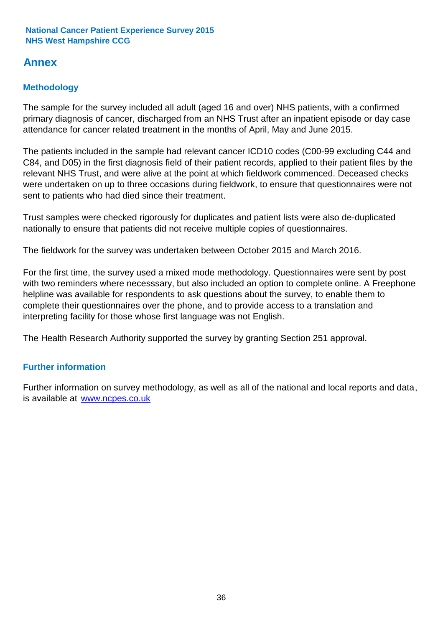### **Annex**

### **Methodology**

The sample for the survey included all adult (aged 16 and over) NHS patients, with a confirmed primary diagnosis of cancer, discharged from an NHS Trust after an inpatient episode or day case attendance for cancer related treatment in the months of April, May and June 2015.

The patients included in the sample had relevant cancer ICD10 codes (C00-99 excluding C44 and C84, and D05) in the first diagnosis field of their patient records, applied to their patient files by the relevant NHS Trust, and were alive at the point at which fieldwork commenced. Deceased checks were undertaken on up to three occasions during fieldwork, to ensure that questionnaires were not sent to patients who had died since their treatment.

Trust samples were checked rigorously for duplicates and patient lists were also de-duplicated nationally to ensure that patients did not receive multiple copies of questionnaires.

The fieldwork for the survey was undertaken between October 2015 and March 2016.

For the first time, the survey used a mixed mode methodology. Questionnaires were sent by post with two reminders where necesssary, but also included an option to complete online. A Freephone helpline was available for respondents to ask questions about the survey, to enable them to complete their questionnaires over the phone, and to provide access to a translation and interpreting facility for those whose first language was not English.

The Health Research Authority supported the survey by granting Section 251 approval.

### **Further information**

Further information on survey methodology, as well as all of the national and local reports and data, is available at www.ncpes.co.uk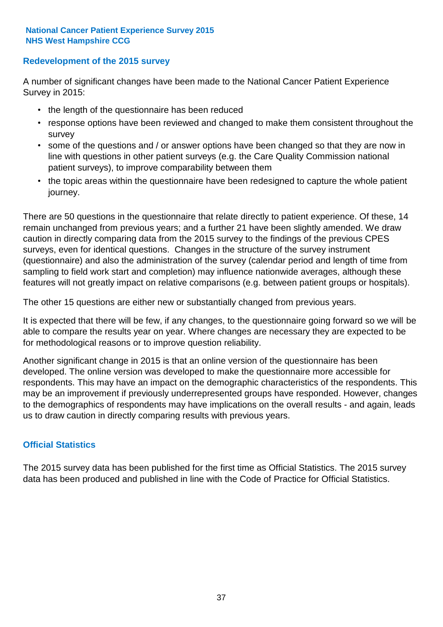#### **Redevelopment of the 2015 survey**

A number of significant changes have been made to the National Cancer Patient Experience Survey in 2015:

- the length of the questionnaire has been reduced
- response options have been reviewed and changed to make them consistent throughout the survey
- some of the questions and / or answer options have been changed so that they are now in line with questions in other patient surveys (e.g. the Care Quality Commission national patient surveys), to improve comparability between them
- the topic areas within the questionnaire have been redesigned to capture the whole patient journey.

There are 50 questions in the questionnaire that relate directly to patient experience. Of these, 14 remain unchanged from previous years; and a further 21 have been slightly amended. We draw caution in directly comparing data from the 2015 survey to the findings of the previous CPES surveys, even for identical questions. Changes in the structure of the survey instrument (questionnaire) and also the administration of the survey (calendar period and length of time from sampling to field work start and completion) may influence nationwide averages, although these features will not greatly impact on relative comparisons (e.g. between patient groups or hospitals).

The other 15 questions are either new or substantially changed from previous years.

It is expected that there will be few, if any changes, to the questionnaire going forward so we will be able to compare the results year on year. Where changes are necessary they are expected to be for methodological reasons or to improve question reliability.

Another significant change in 2015 is that an online version of the questionnaire has been developed. The online version was developed to make the questionnaire more accessible for respondents. This may have an impact on the demographic characteristics of the respondents. This may be an improvement if previously underrepresented groups have responded. However, changes to the demographics of respondents may have implications on the overall results - and again, leads us to draw caution in directly comparing results with previous years.

#### **Official Statistics**

The 2015 survey data has been published for the first time as Official Statistics. The 2015 survey data has been produced and published in line with the Code of Practice for Official Statistics.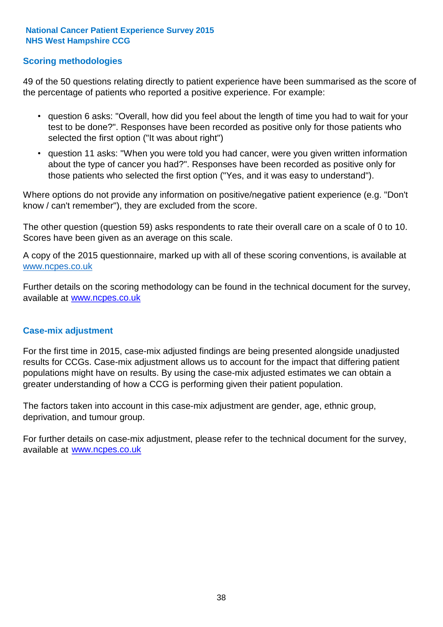#### **Scoring methodologies**

49 of the 50 questions relating directly to patient experience have been summarised as the score of the percentage of patients who reported a positive experience. For example:

- question 6 asks: "Overall, how did you feel about the length of time you had to wait for your test to be done?". Responses have been recorded as positive only for those patients who selected the first option ("It was about right")
- question 11 asks: "When you were told you had cancer, were you given written information about the type of cancer you had?". Responses have been recorded as positive only for those patients who selected the first option ("Yes, and it was easy to understand").

Where options do not provide any information on positive/negative patient experience (e.g. "Don't know / can't remember"), they are excluded from the score.

The other question (question 59) asks respondents to rate their overall care on a scale of 0 to 10. Scores have been given as an average on this scale.

A copy of the 2015 questionnaire, marked up with all of these scoring conventions, is available at www.ncpes.co.uk

Further details on the scoring methodology can be found in the technical document for the survey, available at <u>www.ncpes.co.uk</u>

#### **Case-mix adjustment**

For the first time in 2015, case-mix adjusted findings are being presented alongside unadjusted results for CCGs. Case-mix adjustment allows us to account for the impact that differing patient populations might have on results. By using the case-mix adjusted estimates we can obtain a greater understanding of how a CCG is performing given their patient population.

The factors taken into account in this case-mix adjustment are gender, age, ethnic group, deprivation, and tumour group.

For further details on case-mix adjustment, please refer to the technical document for the survey, available at www.ncpes.co.uk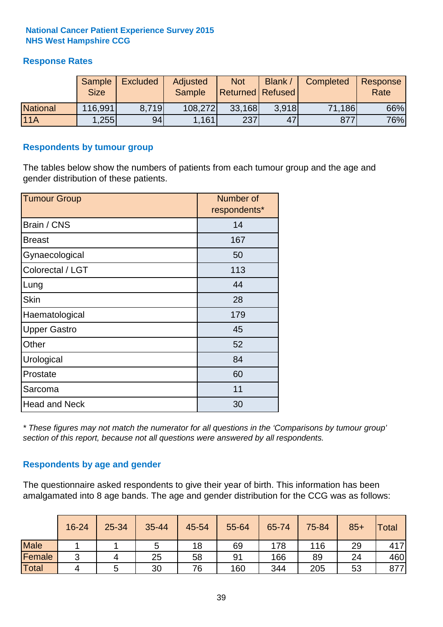#### **Response Rates**

|                 | Sample<br><b>Size</b> | <b>Excluded</b> | Adjusted<br><b>Sample</b> | <b>Not</b><br><b>Returned Refused</b> | Blank / | Completed | Response<br>Rate |
|-----------------|-----------------------|-----------------|---------------------------|---------------------------------------|---------|-----------|------------------|
| <b>National</b> | 116,991               | 8.719           | 108,272                   | 33,168                                | 3.918   | 71,186    | 66%              |
| 11A             | .255                  | 94              | 1,161                     | 237                                   | 47      | 877       | 76%              |

#### **Respondents by tumour group**

The tables below show the numbers of patients from each tumour group and the age and gender distribution of these patients.

| <b>Tumour Group</b>  | Number of<br>respondents* |
|----------------------|---------------------------|
| Brain / CNS          | 14                        |
| <b>Breast</b>        | 167                       |
| Gynaecological       | 50                        |
| Colorectal / LGT     | 113                       |
| Lung                 | 44                        |
| <b>Skin</b>          | 28                        |
| Haematological       | 179                       |
| <b>Upper Gastro</b>  | 45                        |
| Other                | 52                        |
| Urological           | 84                        |
| Prostate             | 60                        |
| Sarcoma              | 11                        |
| <b>Head and Neck</b> | 30                        |

*\* These figures may not match the numerator for all questions in the 'Comparisons by tumour group' section of this report, because not all questions were answered by all respondents.*

#### **Respondents by age and gender**

The questionnaire asked respondents to give their year of birth. This information has been amalgamated into 8 age bands. The age and gender distribution for the CCG was as follows:

|             | 16-24  | 25-34 | 35-44 | 45-54 | 55-64 | 65-74 | 75-84 | $85+$ | <b>Total</b> |
|-------------|--------|-------|-------|-------|-------|-------|-------|-------|--------------|
| <b>Male</b> |        |       | 5     | 18    | 69    | 178   | 116   | 29    | 417          |
| Female      | ◠<br>ັ | 4     | 25    | 58    | 91    | 166   | 89    | 24    | 460          |
| Total       | 4      |       | 30    | 76    | 160   | 344   | 205   | 53    | 877          |